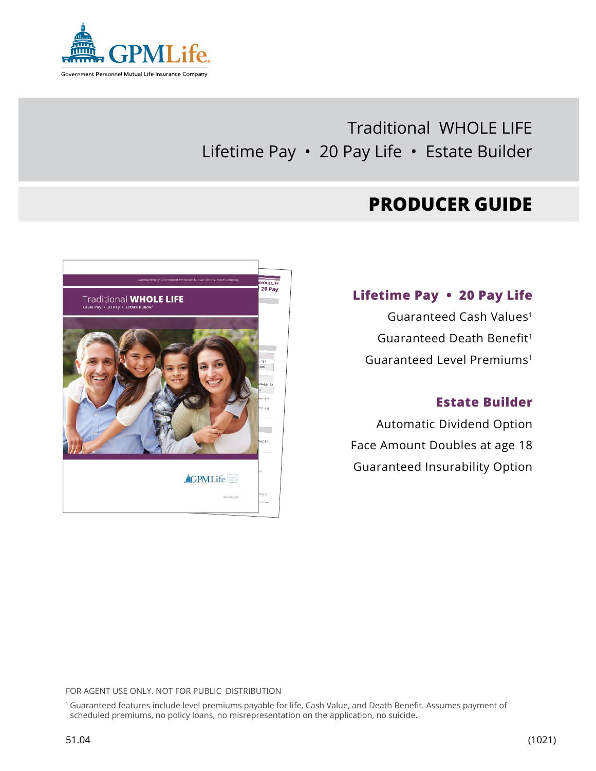

# Traditional WHOLE LIFE Lifetime Pay • 20 Pay Life • Estate Builder

# **PRODUCER GUIDE**



## **Lifetime Pay • 20 Pay Life**

Guaranteed Cash Values1 Guaranteed Death Benefit<sup>1</sup> Guaranteed Level Premiums1

## **Estate Builder**

Automatic Dividend Option Face Amount Doubles at age 18 Guaranteed Insurability Option

FOR AGENT USE ONLY. NOT FOR PUBLIC DISTRIBUTION

1 Guaranteed features include level premiums payable for life, Cash Value, and Death Benefit. Assumes payment of scheduled premiums, no policy loans, no misrepresentation on the application, no suicide.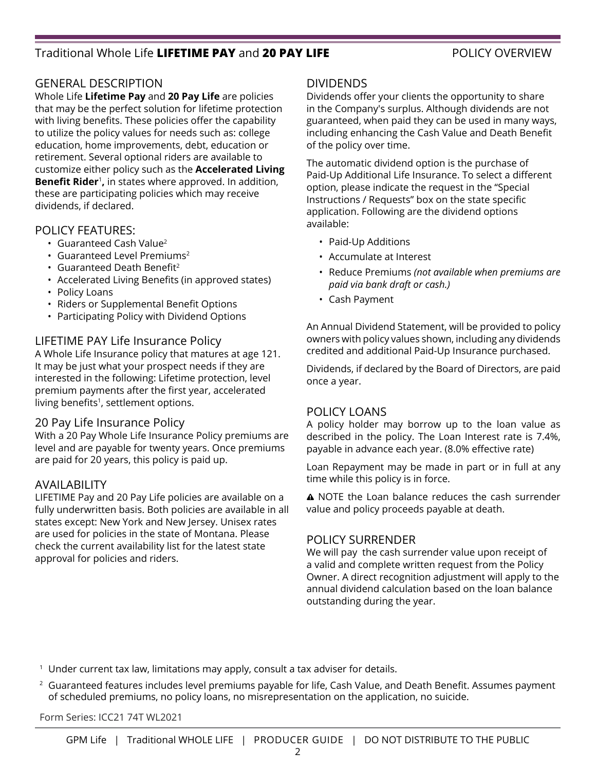## Traditional Whole Life **LIFETIME PAY** and **20 PAY LIFE** POLICY OVERVIEW

## GENERAL DESCRIPTION

Whole Life **Lifetime Pay** and **20 Pay Life** are policies that may be the perfect solution for lifetime protection with living benefits. These policies offer the capability to utilize the policy values for needs such as: college education, home improvements, debt, education or retirement. Several optional riders are available to customize either policy such as the **Accelerated Living Benefit Rider**<sup>1</sup>**,** in states where approved. In addition, these are participating policies which may receive dividends, if declared.

## POLICY FEATURES:

- Guaranteed Cash Value2
- Guaranteed Level Premiums<sup>2</sup>
- $\cdot$  Guaranteed Death Benefit<sup>2</sup>
- Accelerated Living Benefits (in approved states)
- Policy Loans
- Riders or Supplemental Benefit Options
- Participating Policy with Dividend Options

## LIFETIME PAY Life Insurance Policy

A Whole Life Insurance policy that matures at age 121. It may be just what your prospect needs if they are interested in the following: Lifetime protection, level premium payments after the first year, accelerated living benefits<sup>1</sup>, settlement options.

### 20 Pay Life Insurance Policy

With a 20 Pay Whole Life Insurance Policy premiums are level and are payable for twenty years. Once premiums are paid for 20 years, this policy is paid up.

### AVAILABILITY

LIFETIME Pay and 20 Pay Life policies are available on a fully underwritten basis. Both policies are available in all states except: New York and New Jersey. Unisex rates are used for policies in the state of Montana. Please check the current availability list for the latest state approval for policies and riders.

### DIVIDENDS

Dividends offer your clients the opportunity to share in the Company's surplus. Although dividends are not guaranteed, when paid they can be used in many ways, including enhancing the Cash Value and Death Benefit of the policy over time.

The automatic dividend option is the purchase of Paid-Up Additional Life Insurance. To select a different option, please indicate the request in the "Special Instructions / Requests" box on the state specific application. Following are the dividend options available:

- Paid-Up Additions
- Accumulate at Interest
- Reduce Premiums *(not available when premiums are paid via bank draft or cash.)*
- Cash Payment

An Annual Dividend Statement, will be provided to policy owners with policy values shown, including any dividends credited and additional Paid-Up Insurance purchased.

Dividends, if declared by the Board of Directors, are paid once a year.

### POLICY LOANS

A policy holder may borrow up to the loan value as described in the policy. The Loan Interest rate is 7.4%, payable in advance each year. (8.0% effective rate)

Loan Repayment may be made in part or in full at any time while this policy is in force.

A NOTE the Loan balance reduces the cash surrender value and policy proceeds payable at death.

### POLICY SURRENDER

We will pay the cash surrender value upon receipt of a valid and complete written request from the Policy Owner. A direct recognition adjustment will apply to the annual dividend calculation based on the loan balance outstanding during the year.

<sup>1</sup> Under current tax law, limitations may apply, consult a tax adviser for details.

 $2$  Guaranteed features includes level premiums payable for life, Cash Value, and Death Benefit. Assumes payment of scheduled premiums, no policy loans, no misrepresentation on the application, no suicide.

Form Series: ICC21 74T WL2021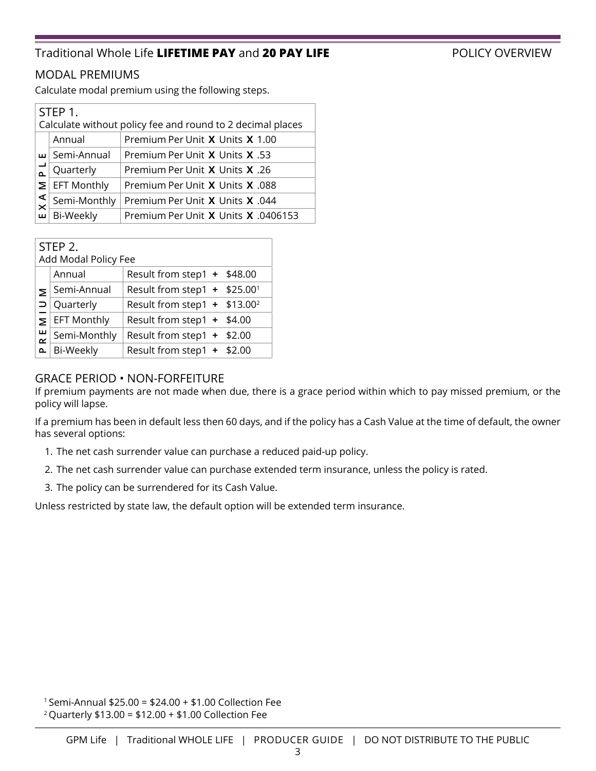## Traditional Whole Life **LIFETIME PAY** and **20 PAY LIFE** POLICY OVERVIEW

## MODAL PREMIUMS

Calculate modal premium using the following steps.

|                                                                          | STEP 1.<br>Calculate without policy fee and round to 2 decimal places |                                     |  |  |  |  |  |
|--------------------------------------------------------------------------|-----------------------------------------------------------------------|-------------------------------------|--|--|--|--|--|
|                                                                          | Annual                                                                | Premium Per Unit X Units X 1.00     |  |  |  |  |  |
|                                                                          | ய Semi-Annual                                                         | Premium Per Unit X Units X .53      |  |  |  |  |  |
|                                                                          | Quarterly                                                             | 26. Premium Per Unit X Units X      |  |  |  |  |  |
| ⋝                                                                        | <b>EFT Monthly</b>                                                    | Premium Per Unit X Units X .088     |  |  |  |  |  |
| $\mathbb{\mathbb{X}}$<br>Semi-Monthly<br>Premium Per Unit X Units X .044 |                                                                       |                                     |  |  |  |  |  |
| ш                                                                        | Bi-Weekly                                                             | Premium Per Unit X Units X .0406153 |  |  |  |  |  |

|               | STEP 2.<br>Add Modal Policy Fee |                                            |  |  |  |  |  |  |
|---------------|---------------------------------|--------------------------------------------|--|--|--|--|--|--|
|               | Annual                          | Result from step1 + \$48.00                |  |  |  |  |  |  |
| Σ             | Semi-Annual                     | Result from step1 + \$25.001               |  |  |  |  |  |  |
| ⊃             | Quarterly                       | Result from step1 $+$ \$13.00 <sup>2</sup> |  |  |  |  |  |  |
| Σ             | <b>EFT Monthly</b>              | Result from step1 + \$4.00                 |  |  |  |  |  |  |
| ш<br>$\alpha$ | Semi-Monthly                    | Result from step1 $+$ \$2.00               |  |  |  |  |  |  |
| $\mathbf{r}$  | Bi-Weekly                       | Result from step1 + \$2.00                 |  |  |  |  |  |  |

## GRACE PERIOD • NON-FORFEITURE

If premium payments are not made when due, there is a grace period within which to pay missed premium, or the policy will lapse.

If a premium has been in default less then 60 days, and if the policy has a Cash Value at the time of default, the owner has several options:

- 1. The net cash surrender value can purchase a reduced paid-up policy.
- 2. The net cash surrender value can purchase extended term insurance, unless the policy is rated.
- 3. The policy can be surrendered for its Cash Value.

Unless restricted by state law, the default option will be extended term insurance.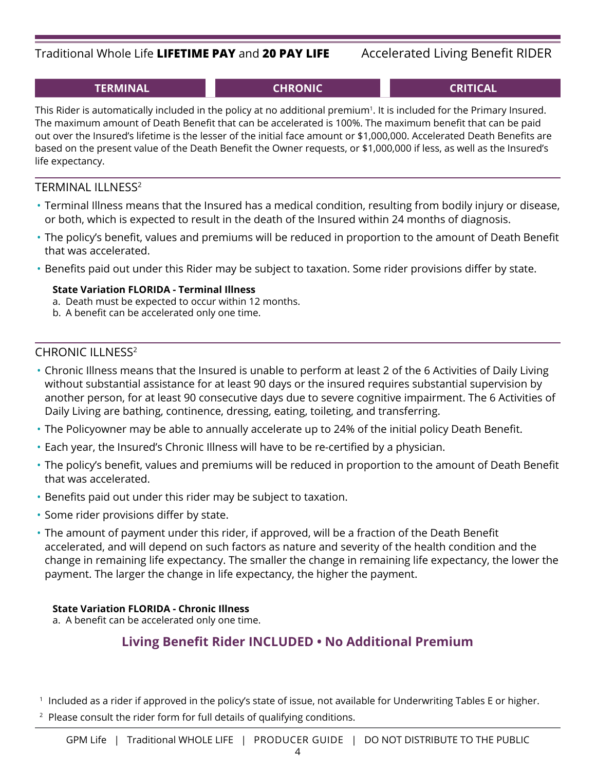## Traditional Whole Life **LIFETIME PAY** and **20 PAY LIFE** Accelerated Living Benefit RIDER

This Rider is automatically included in the policy at no additional premium<sup>1</sup>. It is included for the Primary Insured. The maximum amount of Death Benefit that can be accelerated is 100%. The maximum benefit that can be paid out over the Insured's lifetime is the lesser of the initial face amount or \$1,000,000. Accelerated Death Benefits are based on the present value of the Death Benefit the Owner requests, or \$1,000,000 if less, as well as the Insured's life expectancy.

## TERMINAL ILLNESS2

- Terminal Illness means that the Insured has a medical condition, resulting from bodily injury or disease, or both, which is expected to result in the death of the Insured within 24 months of diagnosis.
- The policy's benefit, values and premiums will be reduced in proportion to the amount of Death Benefit that was accelerated.
- Benefits paid out under this Rider may be subject to taxation. Some rider provisions differ by state.

## **State Variation FLORIDA - Terminal Illness**

- a. Death must be expected to occur within 12 months.
- b. A benefit can be accelerated only one time.

## CHRONIC ILLNESS2

- Chronic Illness means that the Insured is unable to perform at least 2 of the 6 Activities of Daily Living without substantial assistance for at least 90 days or the insured requires substantial supervision by another person, for at least 90 consecutive days due to severe cognitive impairment. The 6 Activities of Daily Living are bathing, continence, dressing, eating, toileting, and transferring.
- The Policyowner may be able to annually accelerate up to 24% of the initial policy Death Benefit.
- Each year, the Insured's Chronic Illness will have to be re-certified by a physician.
- The policy's benefit, values and premiums will be reduced in proportion to the amount of Death Benefit that was accelerated.
- Benefits paid out under this rider may be subject to taxation.
- Some rider provisions differ by state.
- The amount of payment under this rider, if approved, will be a fraction of the Death Benefit accelerated, and will depend on such factors as nature and severity of the health condition and the change in remaining life expectancy. The smaller the change in remaining life expectancy, the lower the payment. The larger the change in life expectancy, the higher the payment.

## **State Variation FLORIDA - Chronic Illness**

a. A benefit can be accelerated only one time.

## **Living Benefit Rider INCLUDED • No Additional Premium**

1 Included as a rider if approved in the policy's state of issue, not available for Underwriting Tables E or higher.

<sup>2</sup> Please consult the rider form for full details of qualifying conditions.

## **TERMINAL CHRONIC CRITICAL**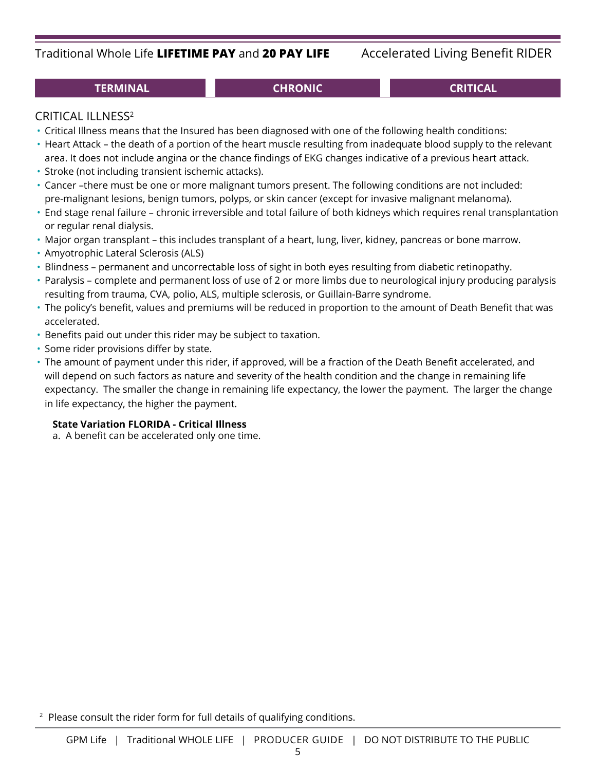## Traditional Whole Life **LIFETIME PAY** and **20 PAY LIFE** Accelerated Living Benefit RIDER

## **TERMINAL CHRONIC CRITICAL**

## CRITICAL ILLNESS2

- Critical Illness means that the Insured has been diagnosed with one of the following health conditions:
- Heart Attack the death of a portion of the heart muscle resulting from inadequate blood supply to the relevant
- area. It does not include angina or the chance findings of EKG changes indicative of a previous heart attack.
- Stroke (not including transient ischemic attacks).
- Cancer –there must be one or more malignant tumors present. The following conditions are not included: pre-malignant lesions, benign tumors, polyps, or skin cancer (except for invasive malignant melanoma).
- End stage renal failure chronic irreversible and total failure of both kidneys which requires renal transplantation or regular renal dialysis.
- Major organ transplant this includes transplant of a heart, lung, liver, kidney, pancreas or bone marrow.
- Amyotrophic Lateral Sclerosis (ALS)
- Blindness permanent and uncorrectable loss of sight in both eyes resulting from diabetic retinopathy.
- Paralysis complete and permanent loss of use of 2 or more limbs due to neurological injury producing paralysis resulting from trauma, CVA, polio, ALS, multiple sclerosis, or Guillain-Barre syndrome.
- The policy's benefit, values and premiums will be reduced in proportion to the amount of Death Benefit that was accelerated.
- Benefits paid out under this rider may be subject to taxation.
- Some rider provisions differ by state.
- The amount of payment under this rider, if approved, will be a fraction of the Death Benefit accelerated, and will depend on such factors as nature and severity of the health condition and the change in remaining life expectancy. The smaller the change in remaining life expectancy, the lower the payment. The larger the change in life expectancy, the higher the payment.

## **State Variation FLORIDA - Critical Illness**

a. A benefit can be accelerated only one time.

<sup>2</sup> Please consult the rider form for full details of qualifying conditions.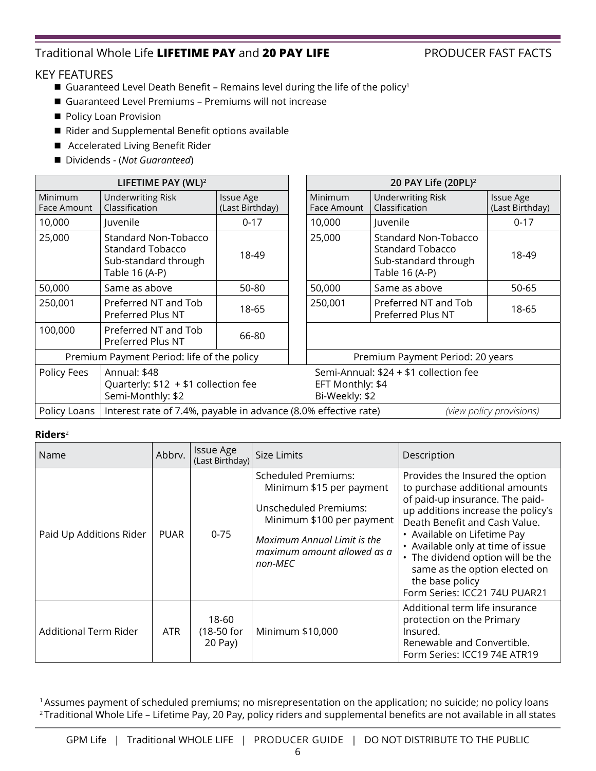## Traditional Whole Life **LIFETIME PAY** and **20 PAY LIFE** PRODUCER FAST FACTS

## KEY FEATURES

- Guaranteed Level Death Benefit Remains level during the life of the policy<sup>1</sup>
- Guaranteed Level Premiums Premiums will not increase
- Policy Loan Provision
- Rider and Supplemental Benefit options available
- Accelerated Living Benefit Rider
- Dividends (*Not Guaranteed*)

|                                                                                          | LIFETIME PAY (WL) <sup>2</sup>                                                                   |                                     |  |                                    | 20 PAY Life (20PL) <sup>2</sup>                                                                  |                                     |  |
|------------------------------------------------------------------------------------------|--------------------------------------------------------------------------------------------------|-------------------------------------|--|------------------------------------|--------------------------------------------------------------------------------------------------|-------------------------------------|--|
| Minimum<br>Face Amount                                                                   | <b>Underwriting Risk</b><br>Classification                                                       | <b>Issue Age</b><br>(Last Birthday) |  | <b>Minimum</b><br>Face Amount      | <b>Underwriting Risk</b><br>Classification                                                       | <b>Issue Age</b><br>(Last Birthday) |  |
| 10,000                                                                                   | Juvenile                                                                                         | $0 - 17$                            |  | 10,000                             | Juvenile                                                                                         | $0 - 17$                            |  |
| 25,000                                                                                   | <b>Standard Non-Tobacco</b><br><b>Standard Tobacco</b><br>Sub-standard through<br>Table 16 (A-P) | 18-49                               |  | 25,000                             | <b>Standard Non-Tobacco</b><br><b>Standard Tobacco</b><br>Sub-standard through<br>Table 16 (A-P) | 18-49                               |  |
| 50,000                                                                                   | Same as above                                                                                    | 50-80                               |  | 50,000                             | Same as above                                                                                    | 50-65                               |  |
| 250,001                                                                                  | Preferred NT and Tob<br>Preferred Plus NT                                                        | 18-65                               |  | 250,001                            | Preferred NT and Tob<br>Preferred Plus NT                                                        | 18-65                               |  |
| 100,000                                                                                  | Preferred NT and Tob<br>Preferred Plus NT                                                        | 66-80                               |  |                                    |                                                                                                  |                                     |  |
|                                                                                          | Premium Payment Period: life of the policy                                                       |                                     |  | Premium Payment Period: 20 years   |                                                                                                  |                                     |  |
| Policy Fees<br>Annual: \$48<br>Quarterly: $$12 + $1$ collection fee<br>Semi-Monthly: \$2 |                                                                                                  |                                     |  | EFT Monthly: \$4<br>Bi-Weekly: \$2 | Semi-Annual: \$24 + \$1 collection fee                                                           |                                     |  |
| Policy Loans                                                                             | Interest rate of 7.4%, payable in advance (8.0% effective rate)                                  |                                     |  |                                    |                                                                                                  | (view policy provisions)            |  |

### **Riders**<sup>2</sup>

| Name                    | Abbrv.      | <b>Issue Age</b><br>(Last Birthday) | Size Limits                                                                                                                                                                                  | Description                                                                                                                                                                                                                                                                                                                                                               |
|-------------------------|-------------|-------------------------------------|----------------------------------------------------------------------------------------------------------------------------------------------------------------------------------------------|---------------------------------------------------------------------------------------------------------------------------------------------------------------------------------------------------------------------------------------------------------------------------------------------------------------------------------------------------------------------------|
| Paid Up Additions Rider | <b>PUAR</b> | $0 - 75$                            | <b>Scheduled Premiums:</b><br>Minimum \$15 per payment<br><b>Unscheduled Premiums:</b><br>Minimum \$100 per payment<br>Maximum Annual Limit is the<br>maximum amount allowed as a<br>non-MEC | Provides the Insured the option<br>to purchase additional amounts<br>of paid-up insurance. The paid-<br>up additions increase the policy's<br>Death Benefit and Cash Value.<br>• Available on Lifetime Pay<br>• Available only at time of issue<br>• The dividend option will be the<br>same as the option elected on<br>the base policy<br>Form Series: ICC21 74U PUAR21 |
| Additional Term Rider   | <b>ATR</b>  | 18-60<br>(18-50 for<br>20 Pay)      | Minimum \$10,000                                                                                                                                                                             | Additional term life insurance<br>protection on the Primary<br>Insured.<br>Renewable and Convertible.<br>Form Series: ICC19 74E ATR19                                                                                                                                                                                                                                     |

1 Assumes payment of scheduled premiums; no misrepresentation on the application; no suicide; no policy loans <sup>2</sup> Traditional Whole Life – Lifetime Pay, 20 Pay, policy riders and supplemental benefits are not available in all states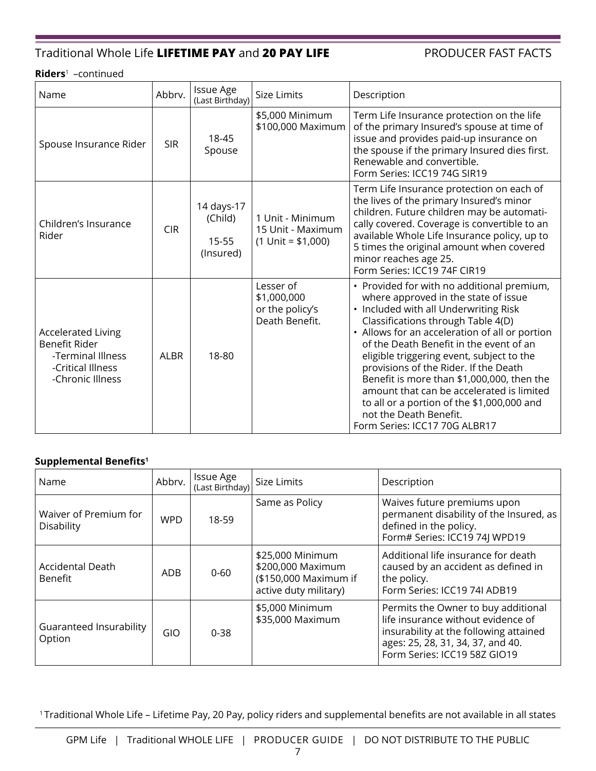## Traditional Whole Life **LIFETIME PAY** and **20 PAY LIFE** PRODUCER FAST FACTS

#### **Riders**1 –continued

| Name                                                                                                     | Abbrv.     | <b>Issue Age</b><br>(Last Birthday)         | <b>Size Limits</b>                                            | Description                                                                                                                                                                                                                                                                                                                                                                                                                                                                                                                                              |
|----------------------------------------------------------------------------------------------------------|------------|---------------------------------------------|---------------------------------------------------------------|----------------------------------------------------------------------------------------------------------------------------------------------------------------------------------------------------------------------------------------------------------------------------------------------------------------------------------------------------------------------------------------------------------------------------------------------------------------------------------------------------------------------------------------------------------|
| Spouse Insurance Rider                                                                                   | <b>SIR</b> | 18-45<br>Spouse                             | \$5,000 Minimum<br>\$100,000 Maximum                          | Term Life Insurance protection on the life<br>of the primary Insured's spouse at time of<br>issue and provides paid-up insurance on<br>the spouse if the primary Insured dies first.<br>Renewable and convertible.<br>Form Series: ICC19 74G SIR19                                                                                                                                                                                                                                                                                                       |
| Children's Insurance<br>Rider                                                                            | <b>CIR</b> | 14 days-17<br>(Child)<br>15-55<br>(Insured) | 1 Unit - Minimum<br>15 Unit - Maximum<br>$(1$ Unit = \$1,000) | Term Life Insurance protection on each of<br>the lives of the primary Insured's minor<br>children. Future children may be automati-<br>cally covered. Coverage is convertible to an<br>available Whole Life Insurance policy, up to<br>5 times the original amount when covered<br>minor reaches age 25.<br>Form Series: ICC19 74F CIR19                                                                                                                                                                                                                 |
| <b>Accelerated Living</b><br>Benefit Rider<br>-Terminal Illness<br>-Critical Illness<br>-Chronic Illness | AI BR      | 18-80                                       | Lesser of<br>\$1,000,000<br>or the policy's<br>Death Benefit. | • Provided for with no additional premium,<br>where approved in the state of issue<br>• Included with all Underwriting Risk<br>Classifications through Table 4(D)<br>• Allows for an acceleration of all or portion<br>of the Death Benefit in the event of an<br>eligible triggering event, subject to the<br>provisions of the Rider. If the Death<br>Benefit is more than \$1,000,000, then the<br>amount that can be accelerated is limited<br>to all or a portion of the \$1,000,000 and<br>not the Death Benefit.<br>Form Series: ICC17 70G ALBR17 |

### **Supplemental Benefits1**

| Name                                      | Abbrv.     | <b>Issue Age</b><br>(Last Birthday) | Size Limits                                                                             | Description                                                                                                                                                                              |
|-------------------------------------------|------------|-------------------------------------|-----------------------------------------------------------------------------------------|------------------------------------------------------------------------------------------------------------------------------------------------------------------------------------------|
| Waiver of Premium for<br>Disability       | <b>WPD</b> | 18-59                               | Same as Policy                                                                          | Waives future premiums upon<br>permanent disability of the Insured, as<br>defined in the policy.<br>Form# Series: ICC19 74J WPD19                                                        |
| <b>Accidental Death</b><br><b>Benefit</b> | <b>ADB</b> | $0 - 60$                            | \$25,000 Minimum<br>\$200,000 Maximum<br>(\$150,000 Maximum if<br>active duty military) | Additional life insurance for death<br>caused by an accident as defined in<br>the policy.<br>Form Series: ICC19 74I ADB19                                                                |
| Guaranteed Insurability<br>Option         | <b>GIO</b> | $0 - 38$                            | \$5,000 Minimum<br>\$35,000 Maximum                                                     | Permits the Owner to buy additional<br>life insurance without evidence of<br>insurability at the following attained<br>ages: 25, 28, 31, 34, 37, and 40.<br>Form Series: ICC19 58Z GIO19 |

1 Traditional Whole Life – Lifetime Pay, 20 Pay, policy riders and supplemental benefits are not available in all states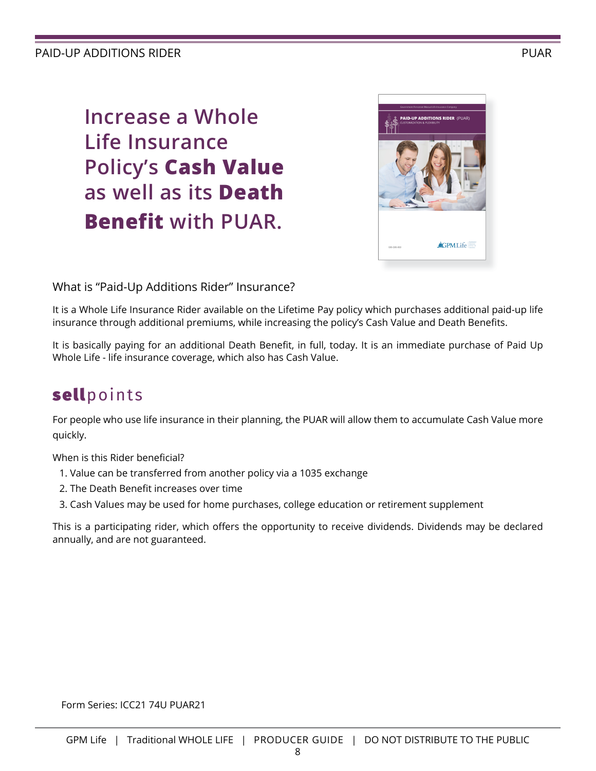## PAID-UP ADDITIONS RIDER PUAR AND THE SERVICE OF THE SERVICE OF THE PUAR PUAR PUAR.

**Increase a Whole Life Insurance Policy's Cash Value as well as its Death Benefit with PUAR.**



## What is "Paid-Up Additions Rider" Insurance?

It is a Whole Life Insurance Rider available on the Lifetime Pay policy which purchases additional paid-up life insurance through additional premiums, while increasing the policy's Cash Value and Death Benefits.

It is basically paying for an additional Death Benefit, in full, today. It is an immediate purchase of Paid Up Whole Life - life insurance coverage, which also has Cash Value.

# sellpoints

For people who use life insurance in their planning, the PUAR will allow them to accumulate Cash Value more quickly.

When is this Rider beneficial?

- 1. Value can be transferred from another policy via a 1035 exchange
- 2. The Death Benefit increases over time
- 3. Cash Values may be used for home purchases, college education or retirement supplement

This is a participating rider, which offers the opportunity to receive dividends. Dividends may be declared annually, and are not guaranteed.

Form Series: ICC21 74U PUAR21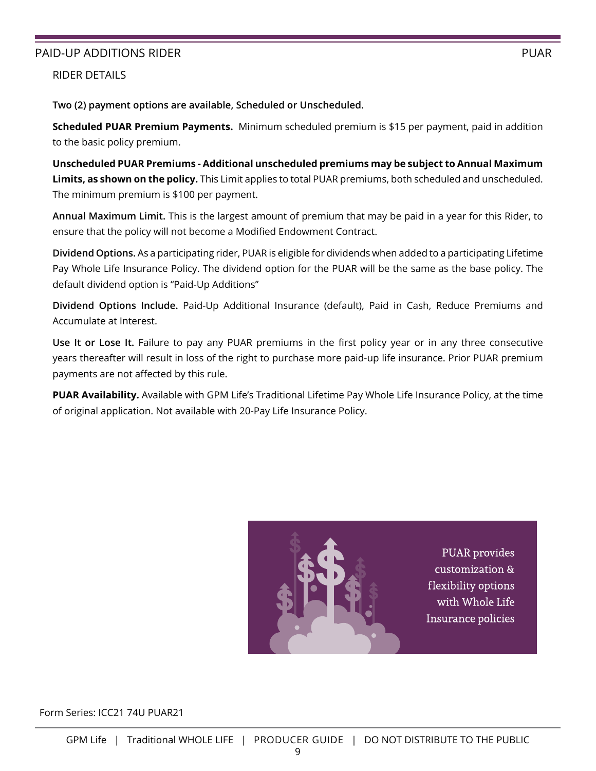## PAID-UP ADDITIONS RIDER PUAR AND THE SERVICE OF THE SERVICE OF THE PUAR PUAR PUAR.

RIDER DETAILS

**Two (2) payment options are available, Scheduled or Unscheduled.** 

**Scheduled PUAR Premium Payments.** Minimum scheduled premium is \$15 per payment, paid in addition to the basic policy premium.

**Unscheduled PUAR Premiums - Additional unscheduled premiums may be subject to Annual Maximum Limits, as shown on the policy.** This Limit applies to total PUAR premiums, both scheduled and unscheduled. The minimum premium is \$100 per payment.

**Annual Maximum Limit.** This is the largest amount of premium that may be paid in a year for this Rider, to ensure that the policy will not become a Modified Endowment Contract.

**Dividend Options.** As a participating rider, PUAR is eligible for dividends when added to a participating Lifetime Pay Whole Life Insurance Policy. The dividend option for the PUAR will be the same as the base policy. The default dividend option is "Paid-Up Additions"

**Dividend Options Include.** Paid-Up Additional Insurance (default), Paid in Cash, Reduce Premiums and Accumulate at Interest.

**Use It or Lose It.** Failure to pay any PUAR premiums in the first policy year or in any three consecutive years thereafter will result in loss of the right to purchase more paid-up life insurance. Prior PUAR premium payments are not affected by this rule.

**PUAR Availability.** Available with GPM Life's Traditional Lifetime Pay Whole Life Insurance Policy, at the time of original application. Not available with 20-Pay Life Insurance Policy.



**PUAR** provides customization & flexibility options with Whole Life Insurance policies

Form Series: ICC21 74U PUAR21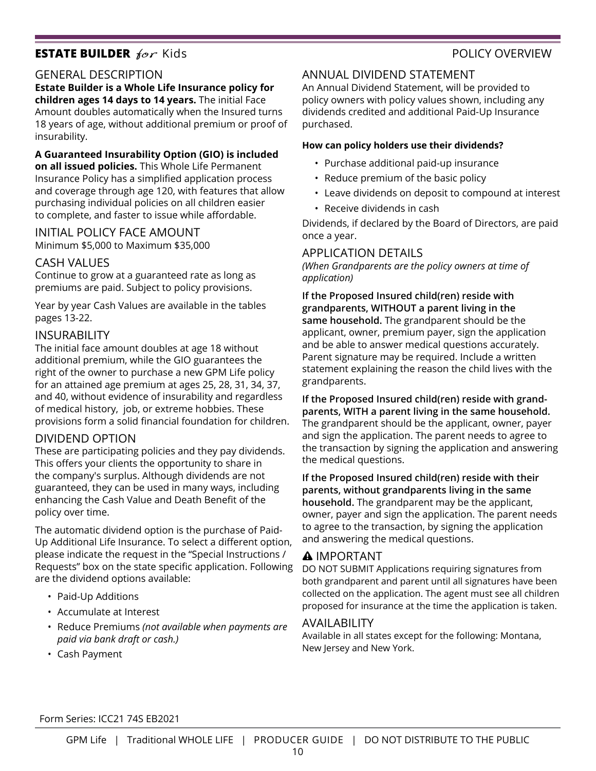## **ESTATE BUILDER** *for* Kids **POLICY OVERVIEW**

### GENERAL DESCRIPTION

**Estate Builder is a Whole Life Insurance policy for children ages 14 days to 14 years.** The initial Face Amount doubles automatically when the Insured turns

18 years of age, without additional premium or proof of insurability.

**A Guaranteed Insurability Option (GIO) is included on all issued policies.** This Whole Life Permanent Insurance Policy has a simplified application process and coverage through age 120, with features that allow purchasing individual policies on all children easier to complete, and faster to issue while affordable.

### INITIAL POLICY FACE AMOUNT

Minimum \$5,000 to Maximum \$35,000

#### CASH VALUES

Continue to grow at a guaranteed rate as long as premiums are paid. Subject to policy provisions.

Year by year Cash Values are available in the tables pages 13-22.

#### **INSURABILITY**

The initial face amount doubles at age 18 without additional premium, while the GIO guarantees the right of the owner to purchase a new GPM Life policy for an attained age premium at ages 25, 28, 31, 34, 37, and 40, without evidence of insurability and regardless of medical history, job, or extreme hobbies. These provisions form a solid financial foundation for children.

### DIVIDEND OPTION

These are participating policies and they pay dividends. This offers your clients the opportunity to share in the company's surplus. Although dividends are not guaranteed, they can be used in many ways, including enhancing the Cash Value and Death Benefit of the policy over time.

The automatic dividend option is the purchase of Paid-Up Additional Life Insurance. To select a different option, please indicate the request in the "Special Instructions / Requests" box on the state specific application. Following are the dividend options available:

- Paid-Up Additions
- Accumulate at Interest
- Reduce Premiums *(not available when payments are paid via bank draft or cash.)*
- Cash Payment

### ANNUAL DIVIDEND STATEMENT

An Annual Dividend Statement, will be provided to policy owners with policy values shown, including any dividends credited and additional Paid-Up Insurance purchased.

#### **How can policy holders use their dividends?**

- Purchase additional paid-up insurance
- Reduce premium of the basic policy
- Leave dividends on deposit to compound at interest
- Receive dividends in cash

Dividends, if declared by the Board of Directors, are paid once a year.

### APPLICATION DETAILS

*(When Grandparents are the policy owners at time of application)*

**If the Proposed Insured child(ren) reside with grandparents, WITHOUT a parent living in the same household.** The grandparent should be the applicant, owner, premium payer, sign the application and be able to answer medical questions accurately. Parent signature may be required. Include a written statement explaining the reason the child lives with the grandparents.

**If the Proposed Insured child(ren) reside with grandparents, WITH a parent living in the same household.**  The grandparent should be the applicant, owner, payer and sign the application. The parent needs to agree to the transaction by signing the application and answering the medical questions.

**If the Proposed Insured child(ren) reside with their parents, without grandparents living in the same household.** The grandparent may be the applicant, owner, payer and sign the application. The parent needs to agree to the transaction, by signing the application and answering the medical questions.

#### **A IMPORTANT**

DO NOT SUBMIT Applications requiring signatures from both grandparent and parent until all signatures have been collected on the application. The agent must see all children proposed for insurance at the time the application is taken.

#### AVAILABILITY

Available in all states except for the following: Montana, New Jersey and New York.

Form Series: ICC21 74S EB2021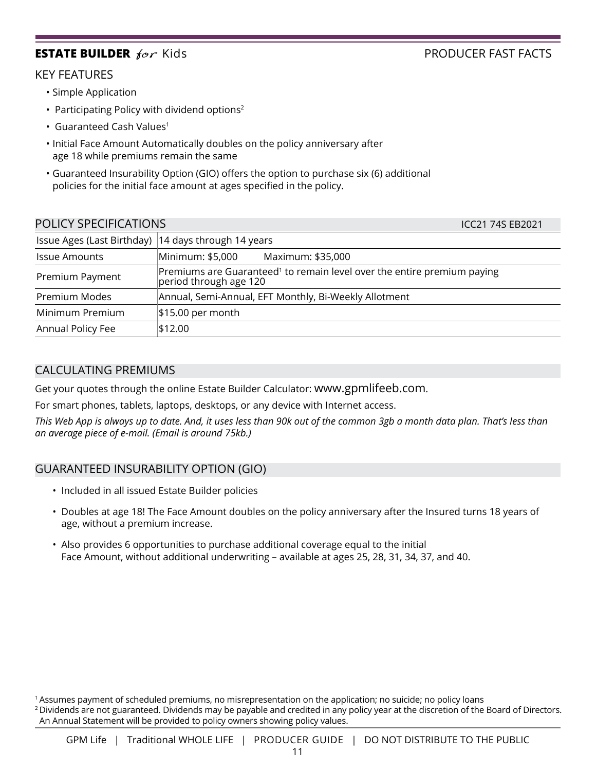## **ESTATE BUILDER** *for* Kids **PRODUCER FAST FACTS**

## KEY FEATURES

- Simple Application
- Participating Policy with dividend options<sup>2</sup>
- Guaranteed Cash Values<sup>1</sup>
- Initial Face Amount Automatically doubles on the policy anniversary after age 18 while premiums remain the same
- Guaranteed Insurability Option (GIO) offers the option to purchase six (6) additional policies for the initial face amount at ages specified in the policy.

| POLICY SPECIFICATIONS                                 | ICC21 74S EB2021                                                                                              |
|-------------------------------------------------------|---------------------------------------------------------------------------------------------------------------|
| Issue Ages (Last Birthday)   14 days through 14 years |                                                                                                               |
| <b>Issue Amounts</b>                                  | Minimum: \$5,000<br>Maximum: \$35,000                                                                         |
| Premium Payment                                       | Premiums are Guaranteed <sup>1</sup> to remain level over the entire premium paying<br>period through age 120 |
| Premium Modes                                         | Annual, Semi-Annual, EFT Monthly, Bi-Weekly Allotment                                                         |
| Minimum Premium                                       | $$15.00$ per month                                                                                            |
| Annual Policy Fee                                     | \$12.00                                                                                                       |

## CALCULATING PREMIUMS

Get your quotes through the online Estate Builder Calculator: www.gpmlifeeb.com.

For smart phones, tablets, laptops, desktops, or any device with Internet access.

*This Web App is always up to date. And, it uses less than 90k out of the common 3gb a month data plan. That's less than an average piece of e-mail. (Email is around 75kb.)*

## GUARANTEED INSURABILITY OPTION (GIO)

- Included in all issued Estate Builder policies
- Doubles at age 18! The Face Amount doubles on the policy anniversary after the Insured turns 18 years of age, without a premium increase.
- Also provides 6 opportunities to purchase additional coverage equal to the initial Face Amount, without additional underwriting – available at ages 25, 28, 31, 34, 37, and 40.

<sup>1</sup> Assumes payment of scheduled premiums, no misrepresentation on the application; no suicide; no policy loans <sup>2</sup> Dividends are not guaranteed. Dividends may be payable and credited in any policy year at the discretion of the Board of Directors. An Annual Statement will be provided to policy owners showing policy values.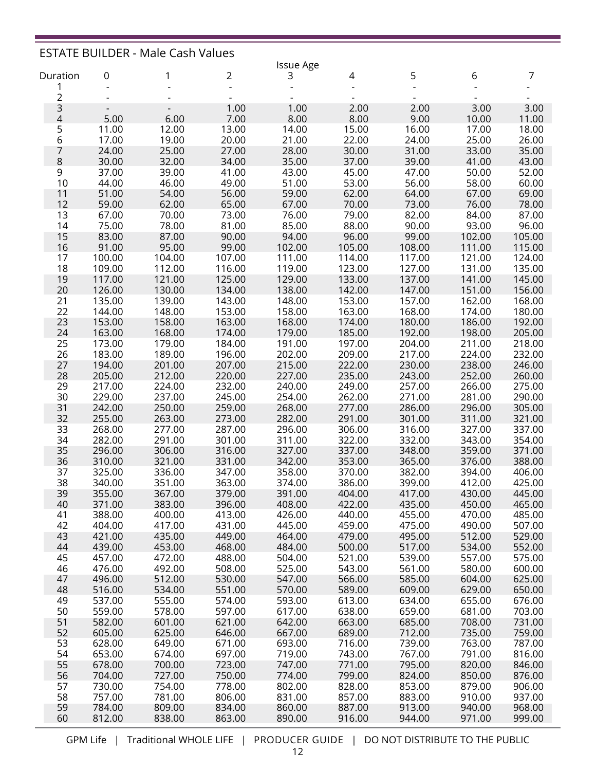|                |                          | <b>ESTATE BUILDER - Male Cash Values</b> |                                   |                  |                  |                  |                  |                  |
|----------------|--------------------------|------------------------------------------|-----------------------------------|------------------|------------------|------------------|------------------|------------------|
|                |                          |                                          |                                   | <b>Issue Age</b> |                  |                  |                  |                  |
| Duration<br>1  | 0                        | 1                                        | 2<br>$\qquad \qquad \blacksquare$ | 3                | 4                | 5                | 6                | 7                |
| 2              |                          |                                          |                                   |                  |                  |                  |                  |                  |
| 3              | $\overline{\phantom{a}}$ |                                          | 1.00                              | 1.00             | 2.00             | 2.00             | 3.00             | 3.00             |
| $\overline{4}$ | 5.00                     | 6.00                                     | 7.00                              | 8.00             | 8.00             | 9.00             | 10.00            | 11.00            |
| 5              | 11.00                    | 12.00                                    | 13.00                             | 14.00            | 15.00            | 16.00            | 17.00            | 18.00            |
| 6              | 17.00                    | 19.00                                    | 20.00                             | 21.00            | 22.00            | 24.00            | 25.00            | 26.00            |
| 7<br>8         | 24.00<br>30.00           | 25.00<br>32.00                           | 27.00<br>34.00                    | 28.00<br>35.00   | 30.00<br>37.00   | 31.00<br>39.00   | 33.00<br>41.00   | 35.00<br>43.00   |
| 9              | 37.00                    | 39.00                                    | 41.00                             | 43.00            | 45.00            | 47.00            | 50.00            | 52.00            |
| 10             | 44.00                    | 46.00                                    | 49.00                             | 51.00            | 53.00            | 56.00            | 58.00            | 60.00            |
| 11             | 51.00                    | 54.00                                    | 56.00                             | 59.00            | 62.00            | 64.00            | 67.00            | 69.00            |
| 12             | 59.00                    | 62.00                                    | 65.00                             | 67.00            | 70.00            | 73.00            | 76.00            | 78.00            |
| 13             | 67.00                    | 70.00                                    | 73.00                             | 76.00            | 79.00            | 82.00            | 84.00            | 87.00            |
| 14             | 75.00                    | 78.00                                    | 81.00                             | 85.00<br>94.00   | 88.00            | 90.00<br>99.00   | 93.00            | 96.00            |
| 15<br>16       | 83.00<br>91.00           | 87.00<br>95.00                           | 90.00<br>99.00                    | 102.00           | 96.00<br>105.00  | 108.00           | 102.00<br>111.00 | 105.00<br>115.00 |
| 17             | 100.00                   | 104.00                                   | 107.00                            | 111.00           | 114.00           | 117.00           | 121.00           | 124.00           |
| 18             | 109.00                   | 112.00                                   | 116.00                            | 119.00           | 123.00           | 127.00           | 131.00           | 135.00           |
| 19             | 117.00                   | 121.00                                   | 125.00                            | 129.00           | 133.00           | 137.00           | 141.00           | 145.00           |
| 20             | 126.00                   | 130.00                                   | 134.00                            | 138.00           | 142.00           | 147.00           | 151.00           | 156.00           |
| 21             | 135.00                   | 139.00                                   | 143.00                            | 148.00           | 153.00           | 157.00           | 162.00           | 168.00           |
| 22<br>23       | 144.00<br>153.00         | 148.00<br>158.00                         | 153.00<br>163.00                  | 158.00<br>168.00 | 163.00<br>174.00 | 168.00<br>180.00 | 174.00<br>186.00 | 180.00<br>192.00 |
| 24             | 163.00                   | 168.00                                   | 174.00                            | 179.00           | 185.00           | 192.00           | 198.00           | 205.00           |
| 25             | 173.00                   | 179.00                                   | 184.00                            | 191.00           | 197.00           | 204.00           | 211.00           | 218.00           |
| 26             | 183.00                   | 189.00                                   | 196.00                            | 202.00           | 209.00           | 217.00           | 224.00           | 232.00           |
| 27             | 194.00                   | 201.00                                   | 207.00                            | 215.00           | 222.00           | 230.00           | 238.00           | 246.00           |
| 28             | 205.00                   | 212.00                                   | 220.00                            | 227.00           | 235.00           | 243.00           | 252.00           | 260.00           |
| 29<br>30       | 217.00<br>229.00         | 224.00<br>237.00                         | 232.00<br>245.00                  | 240.00<br>254.00 | 249.00<br>262.00 | 257.00<br>271.00 | 266.00<br>281.00 | 275.00<br>290.00 |
| 31             | 242.00                   | 250.00                                   | 259.00                            | 268.00           | 277.00           | 286.00           | 296.00           | 305.00           |
| 32             | 255.00                   | 263.00                                   | 273.00                            | 282.00           | 291.00           | 301.00           | 311.00           | 321.00           |
| 33             | 268.00                   | 277.00                                   | 287.00                            | 296.00           | 306.00           | 316.00           | 327.00           | 337.00           |
| 34             | 282.00                   | 291.00                                   | 301.00                            | 311.00           | 322.00           | 332.00           | 343.00           | 354.00           |
| 35             | 296.00                   | 306.00                                   | 316.00                            | 327.00           | 337.00           | 348.00           | 359.00           | 371.00           |
| 36<br>37       | 310.00<br>325.00         | 321.00<br>336.00                         | 331.00<br>347.00                  | 342.00<br>358.00 | 353.00<br>370.00 | 365.00<br>382.00 | 376.00<br>394.00 | 388.00<br>406.00 |
| 38             | 340.00                   | 351.00                                   | 363.00                            | 374.00           | 386.00           | 399.00           | 412.00           | 425.00           |
| 39             | 355.00                   | 367.00                                   | 379.00                            | 391.00           | 404.00           | 417.00           | 430.00           | 445.00           |
| 40             | 371.00                   | 383.00                                   | 396.00                            | 408.00           | 422.00           | 435.00           | 450.00           | 465.00           |
| 41             | 388.00                   | 400.00                                   | 413.00                            | 426.00           | 440.00           | 455.00           | 470.00           | 485.00           |
| 42             | 404.00                   | 417.00                                   | 431.00                            | 445.00           | 459.00           | 475.00           | 490.00           | 507.00           |
| 43<br>44       | 421.00<br>439.00         | 435.00<br>453.00                         | 449.00<br>468.00                  | 464.00<br>484.00 | 479.00<br>500.00 | 495.00<br>517.00 | 512.00<br>534.00 | 529.00<br>552.00 |
| 45             | 457.00                   | 472.00                                   | 488.00                            | 504.00           | 521.00           | 539.00           | 557.00           | 575.00           |
| 46             | 476.00                   | 492.00                                   | 508.00                            | 525.00           | 543.00           | 561.00           | 580.00           | 600.00           |
| 47             | 496.00                   | 512.00                                   | 530.00                            | 547.00           | 566.00           | 585.00           | 604.00           | 625.00           |
| 48             | 516.00                   | 534.00                                   | 551.00                            | 570.00           | 589.00           | 609.00           | 629.00           | 650.00           |
| 49             | 537.00                   | 555.00                                   | 574.00                            | 593.00           | 613.00           | 634.00           | 655.00           | 676.00           |
| 50<br>51       | 559.00<br>582.00         | 578.00<br>601.00                         | 597.00<br>621.00                  | 617.00<br>642.00 | 638.00<br>663.00 | 659.00<br>685.00 | 681.00<br>708.00 | 703.00<br>731.00 |
| 52             | 605.00                   | 625.00                                   | 646.00                            | 667.00           | 689.00           | 712.00           | 735.00           | 759.00           |
| 53             | 628.00                   | 649.00                                   | 671.00                            | 693.00           | 716.00           | 739.00           | 763.00           | 787.00           |
| 54             | 653.00                   | 674.00                                   | 697.00                            | 719.00           | 743.00           | 767.00           | 791.00           | 816.00           |
| 55             | 678.00                   | 700.00                                   | 723.00                            | 747.00           | 771.00           | 795.00           | 820.00           | 846.00           |
| 56             | 704.00                   | 727.00                                   | 750.00                            | 774.00           | 799.00           | 824.00           | 850.00           | 876.00           |
| 57<br>58       | 730.00<br>757.00         | 754.00<br>781.00                         | 778.00<br>806.00                  | 802.00<br>831.00 | 828.00<br>857.00 | 853.00<br>883.00 | 879.00<br>910.00 | 906.00<br>937.00 |
| 59             | 784.00                   | 809.00                                   | 834.00                            | 860.00           | 887.00           | 913.00           | 940.00           | 968.00           |
| 60             | 812.00                   | 838.00                                   | 863.00                            | 890.00           | 916.00           | 944.00           | 971.00           | 999.00           |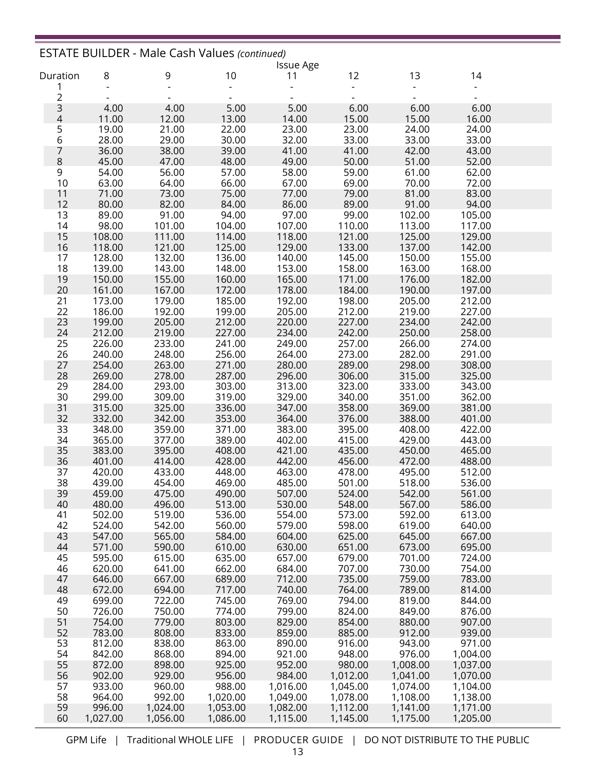|                   |                  | <b>ESTATE BUILDER - Male Cash Values (continued)</b> |                  |                        |                  |                    |                      |  |
|-------------------|------------------|------------------------------------------------------|------------------|------------------------|------------------|--------------------|----------------------|--|
|                   |                  |                                                      | 10               | <b>Issue Age</b><br>11 | 12               | 13                 | 14                   |  |
| Duration<br>1     | 8                | 9                                                    |                  |                        |                  |                    |                      |  |
| $\overline{c}$    |                  |                                                      |                  |                        |                  |                    |                      |  |
|                   | 4.00             | 4.00                                                 | 5.00             | 5.00                   | 6.00             | 6.00               | 6.00                 |  |
| $\frac{3}{4}$     | 11.00            | 12.00                                                | 13.00            | 14.00                  | 15.00            | 15.00              | 16.00                |  |
| $\frac{5}{6}$     | 19.00            | 21.00                                                | 22.00            | 23.00                  | 23.00            | 24.00              | 24.00                |  |
|                   | 28.00            | 29.00                                                | 30.00            | 32.00                  | 33.00            | 33.00              | 33.00                |  |
| 7                 | 36.00            | 38.00                                                | 39.00            | 41.00                  | 41.00            | 42.00              | 43.00                |  |
| 8                 | 45.00            | 47.00                                                | 48.00            | 49.00                  | 50.00            | 51.00              | 52.00                |  |
| $\mathsf 9$<br>10 | 54.00<br>63.00   | 56.00<br>64.00                                       | 57.00<br>66.00   | 58.00<br>67.00         | 59.00<br>69.00   | 61.00<br>70.00     | 62.00<br>72.00       |  |
| 11                | 71.00            | 73.00                                                | 75.00            | 77.00                  | 79.00            | 81.00              | 83.00                |  |
| 12                | 80.00            | 82.00                                                | 84.00            | 86.00                  | 89.00            | 91.00              | 94.00                |  |
| 13                | 89.00            | 91.00                                                | 94.00            | 97.00                  | 99.00            | 102.00             | 105.00               |  |
| 14                | 98.00            | 101.00                                               | 104.00           | 107.00                 | 110.00           | 113.00             | 117.00               |  |
| 15                | 108.00           | 111.00                                               | 114.00           | 118.00                 | 121.00           | 125.00             | 129.00               |  |
| 16                | 118.00           | 121.00                                               | 125.00           | 129.00                 | 133.00           | 137.00             | 142.00               |  |
| 17                | 128.00           | 132.00                                               | 136.00           | 140.00                 | 145.00           | 150.00             | 155.00               |  |
| 18                | 139.00           | 143.00                                               | 148.00           | 153.00                 | 158.00           | 163.00             | 168.00               |  |
| 19                | 150.00           | 155.00                                               | 160.00           | 165.00                 | 171.00           | 176.00             | 182.00               |  |
| 20<br>21          | 161.00<br>173.00 | 167.00<br>179.00                                     | 172.00<br>185.00 | 178.00<br>192.00       | 184.00<br>198.00 | 190.00<br>205.00   | 197.00<br>212.00     |  |
| 22                | 186.00           | 192.00                                               | 199.00           | 205.00                 | 212.00           | 219.00             | 227.00               |  |
| 23                | 199.00           | 205.00                                               | 212.00           | 220.00                 | 227.00           | 234.00             | 242.00               |  |
| 24                | 212.00           | 219.00                                               | 227.00           | 234.00                 | 242.00           | 250.00             | 258.00               |  |
| 25                | 226.00           | 233.00                                               | 241.00           | 249.00                 | 257.00           | 266.00             | 274.00               |  |
| 26                | 240.00           | 248.00                                               | 256.00           | 264.00                 | 273.00           | 282.00             | 291.00               |  |
| 27                | 254.00           | 263.00                                               | 271.00           | 280.00                 | 289.00           | 298.00             | 308.00               |  |
| 28                | 269.00           | 278.00                                               | 287.00           | 296.00                 | 306.00           | 315.00             | 325.00               |  |
| 29                | 284.00           | 293.00                                               | 303.00           | 313.00                 | 323.00           | 333.00             | 343.00               |  |
| 30                | 299.00           | 309.00                                               | 319.00           | 329.00                 | 340.00           | 351.00             | 362.00               |  |
| 31<br>32          | 315.00<br>332.00 | 325.00<br>342.00                                     | 336.00<br>353.00 | 347.00<br>364.00       | 358.00<br>376.00 | 369.00<br>388.00   | 381.00<br>401.00     |  |
| 33                | 348.00           | 359.00                                               | 371.00           | 383.00                 | 395.00           | 408.00             | 422.00               |  |
| 34                | 365.00           | 377.00                                               | 389.00           | 402.00                 | 415.00           | 429.00             | 443.00               |  |
| 35                | 383.00           | 395.00                                               | 408.00           | 421.00                 | 435.00           | 450.00             | 465.00               |  |
| 36                | 401.00           | 414.00                                               | 428.00           | 442.00                 | 456.00           | 472.00             | 488.00               |  |
| 37                | 420.00           | 433.00                                               | 448.00           | 463.00                 | 478.00           | 495.00             | 512.00               |  |
| 38                | 439.00           | 454.00                                               | 469.00           | 485.00                 | 501.00           | 518.00             | 536.00               |  |
| 39                | 459.00           | 475.00                                               | 490.00           | 507.00                 | 524.00           | 542.00             | 561.00               |  |
| 40                | 480.00           | 496.00                                               | 513.00           | 530.00                 | 548.00           | 567.00             | 586.00               |  |
| 41                | 502.00           | 519.00                                               | 536.00           | 554.00                 | 573.00           | 592.00             | 613.00               |  |
| 42<br>43          | 524.00<br>547.00 | 542.00<br>565.00                                     | 560.00<br>584.00 | 579.00<br>604.00       | 598.00<br>625.00 | 619.00             | 640.00<br>667.00     |  |
| 44                | 571.00           | 590.00                                               | 610.00           | 630.00                 | 651.00           | 645.00<br>673.00   | 695.00               |  |
| 45                | 595.00           | 615.00                                               | 635.00           | 657.00                 | 679.00           | 701.00             | 724.00               |  |
| 46                | 620.00           | 641.00                                               | 662.00           | 684.00                 | 707.00           | 730.00             | 754.00               |  |
| 47                | 646.00           | 667.00                                               | 689.00           | 712.00                 | 735.00           | 759.00             | 783.00               |  |
| 48                | 672.00           | 694.00                                               | 717.00           | 740.00                 | 764.00           | 789.00             | 814.00               |  |
| 49                | 699.00           | 722.00                                               | 745.00           | 769.00                 | 794.00           | 819.00             | 844.00               |  |
| 50                | 726.00           | 750.00                                               | 774.00           | 799.00                 | 824.00           | 849.00             | 876.00               |  |
| 51                | 754.00           | 779.00                                               | 803.00           | 829.00                 | 854.00           | 880.00             | 907.00               |  |
| 52                | 783.00           | 808.00                                               | 833.00           | 859.00                 | 885.00           | 912.00             | 939.00               |  |
| 53                | 812.00           | 838.00                                               | 863.00           | 890.00                 | 916.00           | 943.00             | 971.00               |  |
| 54<br>55          | 842.00<br>872.00 | 868.00<br>898.00                                     | 894.00<br>925.00 | 921.00<br>952.00       | 948.00<br>980.00 | 976.00<br>1,008.00 | 1,004.00<br>1,037.00 |  |
| 56                | 902.00           | 929.00                                               | 956.00           | 984.00                 | 1,012.00         | 1,041.00           | 1,070.00             |  |
| 57                | 933.00           | 960.00                                               | 988.00           | 1,016.00               | 1,045.00         | 1,074.00           | 1,104.00             |  |
| 58                | 964.00           | 992.00                                               | 1,020.00         | 1,049.00               | 1,078.00         | 1,108.00           | 1,138.00             |  |
| 59                | 996.00           | 1,024.00                                             | 1,053.00         | 1,082.00               | 1,112.00         | 1,141.00           | 1,171.00             |  |
| 60                | 1,027.00         | 1,056.00                                             | 1,086.00         | 1,115.00               | 1,145.00         | 1,175.00           | 1,205.00             |  |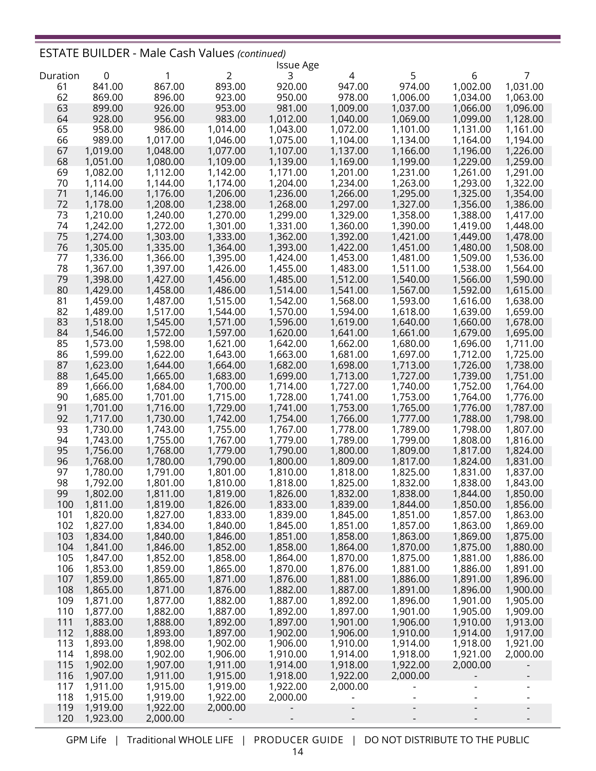## ESTATE BUILDER - Male Cash Values *(continued)*

|          |             |          |          | <b>Issue Age</b> |          |          |          |          |
|----------|-------------|----------|----------|------------------|----------|----------|----------|----------|
| Duration | $\mathbf 0$ | 1        | 2        | 3                | 4        | 5        | 6        | 7        |
| 61       | 841.00      | 867.00   | 893.00   | 920.00           | 947.00   | 974.00   | 1,002.00 | 1,031.00 |
| 62       | 869.00      | 896.00   | 923.00   | 950.00           | 978.00   | 1,006.00 | 1,034.00 | 1,063.00 |
| 63       | 899.00      | 926.00   | 953.00   | 981.00           | 1,009.00 | 1,037.00 | 1,066.00 | 1,096.00 |
| 64       | 928.00      | 956.00   | 983.00   | 1,012.00         | 1,040.00 | 1,069.00 | 1,099.00 | 1,128.00 |
| 65       | 958.00      | 986.00   | 1,014.00 | 1,043.00         | 1,072.00 | 1,101.00 | 1,131.00 | 1,161.00 |
| 66       | 989.00      | 1,017.00 | 1,046.00 | 1,075.00         | 1,104.00 | 1,134.00 | 1,164.00 | 1,194.00 |
| 67       | 1,019.00    | 1,048.00 | 1,077.00 | 1,107.00         | 1,137.00 | 1,166.00 | 1,196.00 | 1,226.00 |
| 68       | 1,051.00    | 1,080.00 | 1,109.00 | 1,139.00         | 1,169.00 | 1,199.00 | 1,229.00 | 1,259.00 |
| 69       | 1,082.00    | 1,112.00 | 1,142.00 | 1,171.00         | 1,201.00 | 1,231.00 | 1,261.00 | 1,291.00 |
| 70       | 1,114.00    | 1,144.00 | 1,174.00 | 1,204.00         | 1,234.00 | 1,263.00 | 1,293.00 | 1,322.00 |
| 71       | 1,146.00    | 1,176.00 | 1,206.00 | 1,236.00         | 1,266.00 | 1,295.00 | 1,325.00 | 1,354.00 |
| 72       | 1,178.00    | 1,208.00 | 1,238.00 | 1,268.00         | 1,297.00 | 1,327.00 | 1,356.00 | 1,386.00 |
| 73       | 1,210.00    | 1,240.00 | 1,270.00 | 1,299.00         | 1,329.00 | 1,358.00 | 1,388.00 | 1,417.00 |
| 74       | 1,242.00    | 1,272.00 | 1,301.00 | 1,331.00         | 1,360.00 | 1,390.00 | 1,419.00 | 1,448.00 |
| 75       | 1,274.00    | 1,303.00 | 1,333.00 | 1,362.00         | 1,392.00 | 1,421.00 | 1,449.00 | 1,478.00 |
| 76       | 1,305.00    | 1,335.00 | 1,364.00 | 1,393.00         | 1,422.00 | 1,451.00 | 1,480.00 | 1,508.00 |
| 77       | 1,336.00    | 1,366.00 | 1,395.00 | 1,424.00         | 1,453.00 | 1,481.00 | 1,509.00 | 1,536.00 |
| 78       | 1,367.00    | 1,397.00 | 1,426.00 | 1,455.00         | 1,483.00 | 1,511.00 | 1,538.00 | 1,564.00 |
| 79       | 1,398.00    | 1,427.00 | 1,456.00 | 1,485.00         | 1,512.00 | 1,540.00 | 1,566.00 | 1,590.00 |
| 80       | 1,429.00    | 1,458.00 | 1,486.00 | 1,514.00         | 1,541.00 | 1,567.00 | 1,592.00 | 1,615.00 |
| 81       | 1,459.00    | 1,487.00 | 1,515.00 | 1,542.00         | 1,568.00 | 1,593.00 | 1,616.00 | 1,638.00 |
| 82       | 1,489.00    | 1,517.00 | 1,544.00 | 1,570.00         | 1,594.00 | 1,618.00 | 1,639.00 | 1,659.00 |
| 83       | 1,518.00    | 1,545.00 | 1,571.00 | 1,596.00         | 1,619.00 | 1,640.00 |          |          |
|          |             |          |          |                  |          |          | 1,660.00 | 1,678.00 |
| 84       | 1,546.00    | 1,572.00 | 1,597.00 | 1,620.00         | 1,641.00 | 1,661.00 | 1,679.00 | 1,695.00 |
| 85       | 1,573.00    | 1,598.00 | 1,621.00 | 1,642.00         | 1,662.00 | 1,680.00 | 1,696.00 | 1,711.00 |
| 86       | 1,599.00    | 1,622.00 | 1,643.00 | 1,663.00         | 1,681.00 | 1,697.00 | 1,712.00 | 1,725.00 |
| 87       | 1,623.00    | 1,644.00 | 1,664.00 | 1,682.00         | 1,698.00 | 1,713.00 | 1,726.00 | 1,738.00 |
| 88       | 1,645.00    | 1,665.00 | 1,683.00 | 1,699.00         | 1,713.00 | 1,727.00 | 1,739.00 | 1,751.00 |
| 89       | 1,666.00    | 1,684.00 | 1,700.00 | 1,714.00         | 1,727.00 | 1,740.00 | 1,752.00 | 1,764.00 |
| 90       | 1,685.00    | 1,701.00 | 1,715.00 | 1,728.00         | 1,741.00 | 1,753.00 | 1,764.00 | 1,776.00 |
| 91       | 1,701.00    | 1,716.00 | 1,729.00 | 1,741.00         | 1,753.00 | 1,765.00 | 1,776.00 | 1,787.00 |
| 92       | 1,717.00    | 1,730.00 | 1,742.00 | 1,754.00         | 1,766.00 | 1,777.00 | 1,788.00 | 1,798.00 |
| 93       | 1,730.00    | 1,743.00 | 1,755.00 | 1,767.00         | 1,778.00 | 1,789.00 | 1,798.00 | 1,807.00 |
| 94       | 1,743.00    | 1,755.00 | 1,767.00 | 1,779.00         | 1,789.00 | 1,799.00 | 1,808.00 | 1,816.00 |
| 95       | 1,756.00    | 1,768.00 | 1,779.00 | 1,790.00         | 1,800.00 | 1,809.00 | 1,817.00 | 1,824.00 |
| 96       | 1,768.00    | 1,780.00 | 1,790.00 | 1,800.00         | 1,809.00 | 1,817.00 | 1,824.00 | 1,831.00 |
| 97       | 1,780.00    | 1,791.00 | 1,801.00 | 1,810.00         | 1,818.00 | 1,825.00 | 1,831.00 | 1,837.00 |
| 98       | 1,792.00    | 1,801.00 | 1,810.00 | 1,818.00         | 1,825.00 | 1,832.00 | 1,838.00 | 1,843.00 |
| 99       | 1,802.00    | 1,811.00 | 1,819.00 | 1,826.00         | 1,832.00 | 1,838.00 | 1,844.00 | 1,850.00 |
| 100      | 1,811.00    | 1,819.00 | 1,826.00 | 1,833.00         | 1,839.00 | 1,844.00 | 1,850.00 | 1,856.00 |
| 101      | 1,820.00    | 1,827.00 | 1,833.00 | 1,839.00         | 1,845.00 | 1,851.00 | 1,857.00 | 1,863.00 |
| 102      | 1,827.00    | 1,834.00 | 1,840.00 | 1,845.00         | 1,851.00 | 1,857.00 | 1,863.00 | 1,869.00 |
| 103      | 1,834.00    | 1,840.00 | 1,846.00 | 1,851.00         | 1,858.00 | 1,863.00 | 1,869.00 | 1,875.00 |
| 104      | 1,841.00    | 1,846.00 | 1,852.00 | 1,858.00         | 1,864.00 | 1,870.00 | 1,875.00 | 1,880.00 |
| 105      | 1,847.00    | 1,852.00 | 1,858.00 | 1,864.00         | 1,870.00 | 1,875.00 | 1,881.00 | 1,886.00 |
| 106      | 1,853.00    | 1,859.00 | 1,865.00 | 1,870.00         | 1,876.00 | 1,881.00 | 1,886.00 | 1,891.00 |
| 107      | 1,859.00    | 1,865.00 | 1,871.00 | 1,876.00         | 1,881.00 | 1,886.00 | 1,891.00 | 1,896.00 |
| 108      | 1,865.00    | 1,871.00 | 1,876.00 | 1,882.00         | 1,887.00 | 1,891.00 | 1,896.00 | 1,900.00 |
| 109      | 1,871.00    | 1,877.00 | 1,882.00 | 1,887.00         | 1,892.00 | 1,896.00 | 1,901.00 | 1,905.00 |
| 110      | 1,877.00    | 1,882.00 | 1,887.00 | 1,892.00         | 1,897.00 | 1,901.00 | 1,905.00 | 1,909.00 |
| 111      | 1,883.00    | 1,888.00 | 1,892.00 | 1,897.00         | 1,901.00 | 1,906.00 | 1,910.00 | 1,913.00 |
| 112      | 1,888.00    | 1,893.00 | 1,897.00 | 1,902.00         | 1,906.00 | 1,910.00 | 1,914.00 | 1,917.00 |
| 113      | 1,893.00    | 1,898.00 | 1,902.00 | 1,906.00         | 1,910.00 | 1,914.00 | 1,918.00 | 1,921.00 |
| 114      | 1,898.00    | 1,902.00 | 1,906.00 | 1,910.00         | 1,914.00 | 1,918.00 | 1,921.00 | 2,000.00 |
| 115      | 1,902.00    | 1,907.00 | 1,911.00 | 1,914.00         | 1,918.00 | 1,922.00 | 2,000.00 |          |
| 116      | 1,907.00    | 1,911.00 | 1,915.00 | 1,918.00         | 1,922.00 | 2,000.00 |          |          |
| 117      | 1,911.00    | 1,915.00 | 1,919.00 | 1,922.00         | 2,000.00 |          |          |          |
| 118      | 1,915.00    | 1,919.00 | 1,922.00 | 2,000.00         |          |          |          |          |
| 119      | 1,919.00    | 1,922.00 | 2,000.00 |                  |          |          |          |          |
| 120      | 1,923.00    | 2,000.00 |          |                  |          |          |          |          |
|          |             |          |          |                  |          |          |          |          |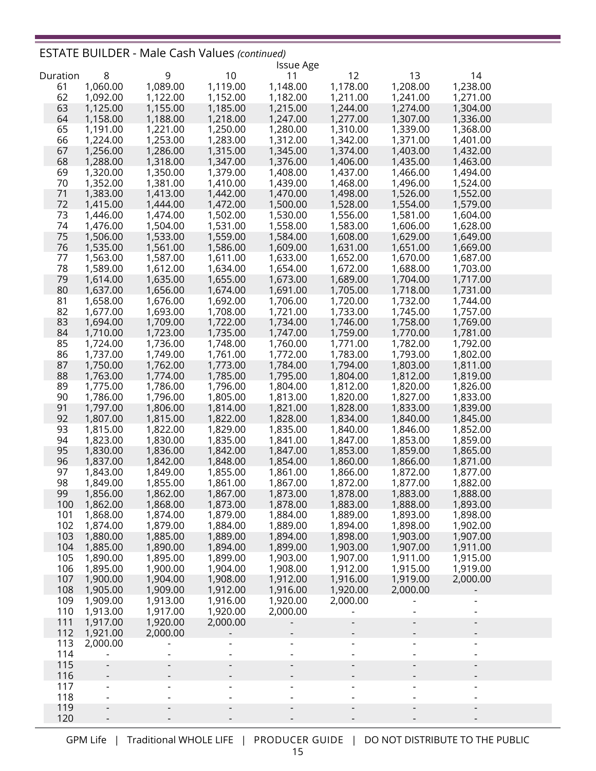## ESTATE BUILDER - Male Cash Values *(continued)*

|          |                      |          |          | <b>Issue Age</b> |                          |                          |                          |  |
|----------|----------------------|----------|----------|------------------|--------------------------|--------------------------|--------------------------|--|
| Duration | 8                    | 9        | 10       | 11               | 12                       | 13                       | 14                       |  |
| 61       | 1,060.00             | 1,089.00 | 1,119.00 | 1,148.00         | 1,178.00                 | 1,208.00                 | 1,238.00                 |  |
| 62       | 1,092.00             | 1,122.00 | 1,152.00 | 1,182.00         | 1,211.00                 | 1,241.00                 | 1,271.00                 |  |
| 63       | 1,125.00             | 1,155.00 | 1,185.00 | 1,215.00         | 1,244.00                 | 1,274.00                 | 1,304.00                 |  |
| 64       | 1,158.00             | 1,188.00 | 1,218.00 | 1,247.00         | 1,277.00                 | 1,307.00                 | 1,336.00                 |  |
| 65       | 1,191.00             | 1,221.00 | 1,250.00 | 1,280.00         | 1,310.00                 | 1,339.00                 | 1,368.00                 |  |
| 66       | 1,224.00             | 1,253.00 | 1,283.00 | 1,312.00         | 1,342.00                 | 1,371.00                 | 1,401.00                 |  |
| 67       | 1,256.00             | 1,286.00 | 1,315.00 | 1,345.00         | 1,374.00                 | 1,403.00                 | 1,432.00                 |  |
| 68       | 1,288.00             | 1,318.00 | 1,347.00 | 1,376.00         | 1,406.00                 | 1,435.00                 | 1,463.00                 |  |
| 69       | 1,320.00             | 1,350.00 | 1,379.00 | 1,408.00         | 1,437.00                 | 1,466.00                 | 1,494.00                 |  |
| 70       | 1,352.00             | 1,381.00 | 1,410.00 | 1,439.00         | 1,468.00                 | 1,496.00                 | 1,524.00                 |  |
| 71       | 1,383.00             | 1,413.00 | 1,442.00 | 1,470.00         | 1,498.00                 | 1,526.00                 | 1,552.00                 |  |
| 72       | 1,415.00             | 1,444.00 | 1,472.00 | 1,500.00         | 1,528.00                 | 1,554.00                 | 1,579.00                 |  |
| 73       | 1,446.00             | 1,474.00 | 1,502.00 | 1,530.00         | 1,556.00                 | 1,581.00                 | 1,604.00                 |  |
| 74       | 1,476.00             | 1,504.00 | 1,531.00 | 1,558.00         | 1,583.00                 | 1,606.00                 | 1,628.00                 |  |
| 75       | 1,506.00             | 1,533.00 | 1,559.00 | 1,584.00         | 1,608.00                 | 1,629.00                 | 1,649.00                 |  |
| 76       | 1,535.00             | 1,561.00 | 1,586.00 | 1,609.00         | 1,631.00                 | 1,651.00                 | 1,669.00                 |  |
| 77       | 1,563.00             | 1,587.00 | 1,611.00 | 1,633.00         | 1,652.00                 | 1,670.00                 | 1,687.00                 |  |
| 78       | 1,589.00             | 1,612.00 | 1,634.00 | 1,654.00         | 1,672.00                 | 1,688.00                 | 1,703.00                 |  |
| 79       | 1,614.00             | 1,635.00 | 1,655.00 | 1,673.00         | 1,689.00                 | 1,704.00                 | 1,717.00                 |  |
| 80       | 1,637.00             | 1,656.00 | 1,674.00 | 1,691.00         | 1,705.00                 | 1,718.00                 | 1,731.00                 |  |
| 81       | 1,658.00             | 1,676.00 | 1,692.00 | 1,706.00         | 1,720.00                 | 1,732.00                 | 1,744.00                 |  |
| 82       | 1,677.00             | 1,693.00 | 1,708.00 | 1,721.00         | 1,733.00                 | 1,745.00                 | 1,757.00                 |  |
| 83       | 1,694.00             | 1,709.00 | 1,722.00 | 1,734.00         | 1,746.00                 | 1,758.00                 | 1,769.00                 |  |
| 84       | 1,710.00             | 1,723.00 | 1,735.00 | 1,747.00         | 1,759.00                 | 1,770.00                 | 1,781.00                 |  |
| 85       | 1,724.00             | 1,736.00 | 1,748.00 | 1,760.00         | 1,771.00                 | 1,782.00                 | 1,792.00                 |  |
| 86       | 1,737.00             | 1,749.00 | 1,761.00 | 1,772.00         | 1,783.00                 | 1,793.00                 | 1,802.00                 |  |
| 87       | 1,750.00             | 1,762.00 | 1,773.00 | 1,784.00         | 1,794.00                 | 1,803.00                 | 1,811.00                 |  |
| 88       | 1,763.00             | 1,774.00 | 1,785.00 | 1,795.00         | 1,804.00                 | 1,812.00                 | 1,819.00                 |  |
| 89       | 1,775.00             | 1,786.00 | 1,796.00 | 1,804.00         | 1,812.00                 | 1,820.00                 | 1,826.00                 |  |
| 90       | 1,786.00             | 1,796.00 | 1,805.00 | 1,813.00         | 1,820.00                 | 1,827.00                 | 1,833.00                 |  |
| 91       | 1,797.00             | 1,806.00 | 1,814.00 | 1,821.00         | 1,828.00                 | 1,833.00                 | 1,839.00                 |  |
| 92       | 1,807.00             | 1,815.00 | 1,822.00 | 1,828.00         | 1,834.00                 | 1,840.00                 | 1,845.00                 |  |
| 93       | 1,815.00             | 1,822.00 | 1,829.00 | 1,835.00         | 1,840.00                 | 1,846.00                 | 1,852.00                 |  |
| 94       | 1,823.00             | 1,830.00 | 1,835.00 | 1,841.00         | 1,847.00                 | 1,853.00                 | 1,859.00                 |  |
| 95       | 1,830.00             | 1,836.00 | 1,842.00 | 1,847.00         | 1,853.00                 | 1,859.00                 | 1,865.00                 |  |
| 96       | 1,837.00             | 1,842.00 | 1,848.00 | 1,854.00         | 1,860.00                 | 1,866.00                 | 1,871.00                 |  |
| 97       | 1,843.00             | 1,849.00 | 1,855.00 | 1,861.00         | 1,866.00                 | 1,872.00                 | 1,877.00                 |  |
| 98       | 1,849.00             | 1,855.00 | 1,861.00 | 1,867.00         | 1,872.00                 | 1,877.00                 | 1,882.00                 |  |
| 99       | 1,856.00             | 1,862.00 | 1,867.00 | 1,873.00         | 1,878.00                 | 1,883.00                 | 1,888.00                 |  |
| 100      | 1,862.00             | 1,868.00 | 1,873.00 | 1,878.00         | 1,883.00                 | 1,888.00                 | 1,893.00                 |  |
| 101      | 1,868.00             | 1,874.00 | 1,879.00 | 1,884.00         | 1,889.00                 | 1,893.00                 | 1,898.00                 |  |
| 102      | 1,874.00             | 1,879.00 | 1,884.00 | 1,889.00         | 1,894.00                 | 1,898.00                 | 1,902.00                 |  |
| 103      | 1,880.00             | 1,885.00 | 1,889.00 | 1,894.00         | 1,898.00                 | 1,903.00                 | 1,907.00                 |  |
| 104      | 1,885.00             | 1,890.00 | 1,894.00 | 1,899.00         | 1,903.00                 | 1,907.00                 | 1,911.00                 |  |
| 105      | 1,890.00             | 1,895.00 | 1,899.00 | 1,903.00         | 1,907.00                 | 1,911.00                 | 1,915.00                 |  |
| 106      | 1,895.00             | 1,900.00 | 1,904.00 | 1,908.00         | 1,912.00                 | 1,915.00                 | 1,919.00                 |  |
| 107      |                      |          | 1,908.00 | 1,912.00         | 1,916.00                 | 1,919.00                 | 2,000.00                 |  |
|          | 1,900.00<br>1,905.00 | 1,904.00 |          |                  | 1,920.00                 |                          |                          |  |
| 108      |                      | 1,909.00 | 1,912.00 | 1,916.00         |                          | 2,000.00                 |                          |  |
| 109      | 1,909.00             | 1,913.00 | 1,916.00 | 1,920.00         | 2,000.00                 |                          |                          |  |
| 110      | 1,913.00             | 1,917.00 | 1,920.00 | 2,000.00         |                          |                          |                          |  |
| 111      | 1,917.00             | 1,920.00 | 2,000.00 |                  |                          | $\overline{\phantom{a}}$ | $\overline{\phantom{a}}$ |  |
| 112      | 1,921.00             | 2,000.00 |          |                  |                          |                          |                          |  |
| 113      | 2,000.00             |          |          |                  |                          |                          | -                        |  |
| 114      |                      |          |          |                  | $\overline{\phantom{a}}$ |                          | $\overline{\phantom{a}}$ |  |
| 115      |                      |          |          |                  |                          |                          | -                        |  |
| 116      |                      |          |          |                  |                          |                          |                          |  |
| 117      |                      |          |          |                  |                          |                          |                          |  |
| 118      |                      |          |          |                  |                          |                          |                          |  |
| 119      | $\overline{a}$       |          |          |                  |                          |                          |                          |  |
| 120      |                      |          |          |                  |                          |                          |                          |  |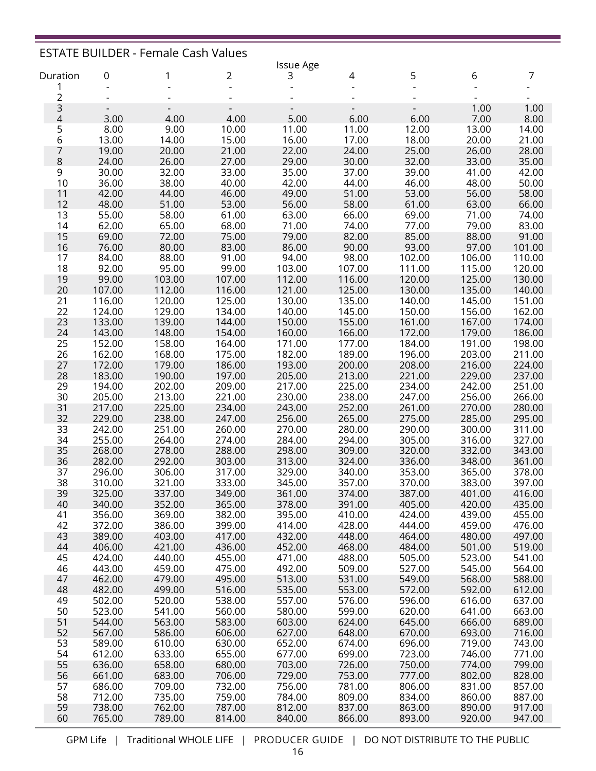|                |                                  | <b>ESTATE BUILDER - Female Cash Values</b> |                                  |                  |                  |                  |                  |                  |
|----------------|----------------------------------|--------------------------------------------|----------------------------------|------------------|------------------|------------------|------------------|------------------|
|                |                                  |                                            |                                  | <b>Issue Age</b> |                  |                  |                  |                  |
| Duration       | 0                                | 1                                          | 2                                | 3                | 4                | 5                | 6                | 7                |
| 1              |                                  |                                            | $\overline{a}$                   |                  |                  |                  |                  |                  |
| $\overline{c}$ |                                  |                                            |                                  |                  |                  |                  |                  |                  |
| $\frac{3}{4}$  | $\overline{\phantom{a}}$<br>3.00 | $\overline{\phantom{a}}$<br>4.00           | $\overline{\phantom{a}}$<br>4.00 | 5.00             | 6.00             | 6.00             | 1.00<br>7.00     | 1.00<br>8.00     |
| 5              | 8.00                             | 9.00                                       | 10.00                            | 11.00            | 11.00            | 12.00            | 13.00            | 14.00            |
| 6              | 13.00                            | 14.00                                      | 15.00                            | 16.00            | 17.00            | 18.00            | 20.00            | 21.00            |
| 7              | 19.00                            | 20.00                                      | 21.00                            | 22.00            | 24.00            | 25.00            | 26.00            | 28.00            |
| 8              | 24.00                            | 26.00                                      | 27.00                            | 29.00            | 30.00            | 32.00            | 33.00            | 35.00            |
| 9              | 30.00                            | 32.00                                      | 33.00                            | 35.00            | 37.00            | 39.00            | 41.00            | 42.00            |
| 10             | 36.00                            | 38.00                                      | 40.00                            | 42.00            | 44.00            | 46.00            | 48.00            | 50.00            |
| 11             | 42.00                            | 44.00                                      | 46.00                            | 49.00            | 51.00            | 53.00            | 56.00            | 58.00            |
| 12             | 48.00                            | 51.00                                      | 53.00                            | 56.00            | 58.00            | 61.00            | 63.00            | 66.00            |
| 13             | 55.00                            | 58.00                                      | 61.00                            | 63.00            | 66.00            | 69.00            | 71.00            | 74.00            |
| 14             | 62.00                            | 65.00                                      | 68.00                            | 71.00            | 74.00            | 77.00            | 79.00            | 83.00            |
| 15             | 69.00                            | 72.00                                      | 75.00                            | 79.00            | 82.00            | 85.00            | 88.00            | 91.00            |
| 16             | 76.00                            | 80.00                                      | 83.00                            | 86.00            | 90.00            | 93.00            | 97.00            | 101.00           |
| 17             | 84.00                            | 88.00                                      | 91.00                            | 94.00            | 98.00            | 102.00           | 106.00           | 110.00           |
| 18             | 92.00                            | 95.00                                      | 99.00                            | 103.00           | 107.00           | 111.00           | 115.00           | 120.00           |
| 19             | 99.00                            | 103.00                                     | 107.00                           | 112.00           | 116.00           | 120.00           | 125.00           | 130.00           |
| 20<br>21       | 107.00<br>116.00                 | 112.00<br>120.00                           | 116.00<br>125.00                 | 121.00<br>130.00 | 125.00<br>135.00 | 130.00<br>140.00 | 135.00<br>145.00 | 140.00<br>151.00 |
| 22             | 124.00                           | 129.00                                     | 134.00                           | 140.00           | 145.00           | 150.00           | 156.00           | 162.00           |
| 23             | 133.00                           | 139.00                                     | 144.00                           | 150.00           | 155.00           | 161.00           | 167.00           | 174.00           |
| 24             | 143.00                           | 148.00                                     | 154.00                           | 160.00           | 166.00           | 172.00           | 179.00           | 186.00           |
| 25             | 152.00                           | 158.00                                     | 164.00                           | 171.00           | 177.00           | 184.00           | 191.00           | 198.00           |
| 26             | 162.00                           | 168.00                                     | 175.00                           | 182.00           | 189.00           | 196.00           | 203.00           | 211.00           |
| 27             | 172.00                           | 179.00                                     | 186.00                           | 193.00           | 200.00           | 208.00           | 216.00           | 224.00           |
| 28             | 183.00                           | 190.00                                     | 197.00                           | 205.00           | 213.00           | 221.00           | 229.00           | 237.00           |
| 29             | 194.00                           | 202.00                                     | 209.00                           | 217.00           | 225.00           | 234.00           | 242.00           | 251.00           |
| 30             | 205.00                           | 213.00                                     | 221.00                           | 230.00           | 238.00           | 247.00           | 256.00           | 266.00           |
| 31             | 217.00                           | 225.00                                     | 234.00                           | 243.00           | 252.00           | 261.00           | 270.00           | 280.00           |
| 32             | 229.00                           | 238.00                                     | 247.00                           | 256.00           | 265.00           | 275.00           | 285.00           | 295.00           |
| 33             | 242.00                           | 251.00                                     | 260.00                           | 270.00           | 280.00           | 290.00           | 300.00           | 311.00           |
| 34<br>35       | 255.00                           | 264.00                                     | 274.00                           | 284.00           | 294.00           | 305.00           | 316.00           | 327.00           |
| 36             | 268.00<br>282.00                 | 278.00<br>292.00                           | 288.00<br>303.00                 | 298.00<br>313.00 | 309.00<br>324.00 | 320.00<br>336.00 | 332.00<br>348.00 | 343.00<br>361.00 |
| 37             | 296.00                           | 306.00                                     | 317.00                           | 329.00           | 340.00           | 353.00           | 365.00           | 378.00           |
| 38             | 310.00                           | 321.00                                     | 333.00                           | 345.00           | 357.00           | 370.00           | 383.00           | 397.00           |
| 39             | 325.00                           | 337.00                                     | 349.00                           | 361.00           | 374.00           | 387.00           | 401.00           | 416.00           |
| 40             | 340.00                           | 352.00                                     | 365.00                           | 378.00           | 391.00           | 405.00           | 420.00           | 435.00           |
| 41             | 356.00                           | 369.00                                     | 382.00                           | 395.00           | 410.00           | 424.00           | 439.00           | 455.00           |
| 42             | 372.00                           | 386.00                                     | 399.00                           | 414.00           | 428.00           | 444.00           | 459.00           | 476.00           |
| 43             | 389.00                           | 403.00                                     | 417.00                           | 432.00           | 448.00           | 464.00           | 480.00           | 497.00           |
| 44             | 406.00                           | 421.00                                     | 436.00                           | 452.00           | 468.00           | 484.00           | 501.00           | 519.00           |
| 45             | 424.00                           | 440.00                                     | 455.00                           | 471.00           | 488.00           | 505.00           | 523.00           | 541.00           |
| 46             | 443.00                           | 459.00                                     | 475.00                           | 492.00           | 509.00           | 527.00           | 545.00           | 564.00           |
| 47             | 462.00                           | 479.00                                     | 495.00                           | 513.00           | 531.00           | 549.00           | 568.00           | 588.00           |
| 48<br>49       | 482.00<br>502.00                 | 499.00<br>520.00                           | 516.00<br>538.00                 | 535.00<br>557.00 | 553.00<br>576.00 | 572.00<br>596.00 | 592.00<br>616.00 | 612.00<br>637.00 |
| 50             | 523.00                           | 541.00                                     | 560.00                           | 580.00           | 599.00           | 620.00           | 641.00           | 663.00           |
| 51             | 544.00                           | 563.00                                     | 583.00                           | 603.00           | 624.00           | 645.00           | 666.00           | 689.00           |
| 52             | 567.00                           | 586.00                                     | 606.00                           | 627.00           | 648.00           | 670.00           | 693.00           | 716.00           |
| 53             | 589.00                           | 610.00                                     | 630.00                           | 652.00           | 674.00           | 696.00           | 719.00           | 743.00           |
| 54             | 612.00                           | 633.00                                     | 655.00                           | 677.00           | 699.00           | 723.00           | 746.00           | 771.00           |
| 55             | 636.00                           | 658.00                                     | 680.00                           | 703.00           | 726.00           | 750.00           | 774.00           | 799.00           |
| 56             | 661.00                           | 683.00                                     | 706.00                           | 729.00           | 753.00           | 777.00           | 802.00           | 828.00           |
| 57             | 686.00                           | 709.00                                     | 732.00                           | 756.00           | 781.00           | 806.00           | 831.00           | 857.00           |
| 58             | 712.00                           | 735.00                                     | 759.00                           | 784.00           | 809.00           | 834.00           | 860.00           | 887.00           |
| 59             | 738.00                           | 762.00                                     | 787.00                           | 812.00           | 837.00           | 863.00           | 890.00           | 917.00           |
| 60             | 765.00                           | 789.00                                     | 814.00                           | 840.00           | 866.00           | 893.00           | 920.00           | 947.00           |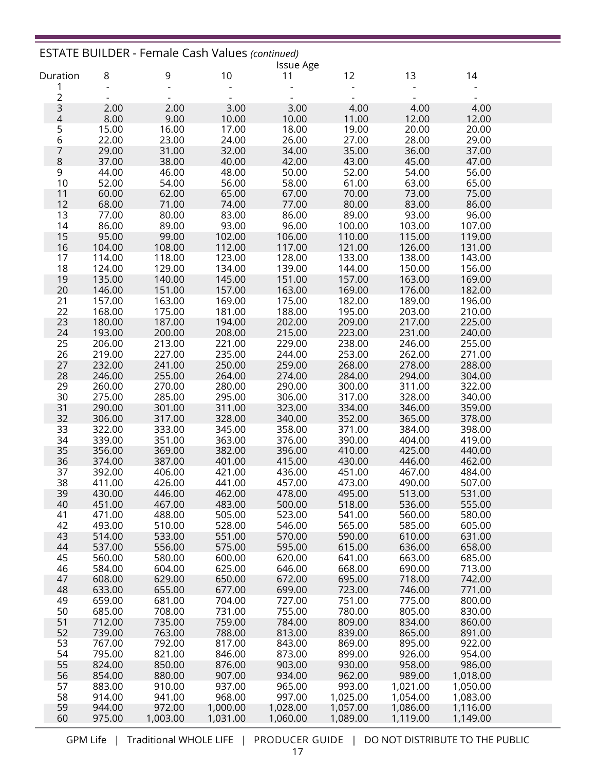|                |                  | <b>ESTATE BUILDER - Female Cash Values (continued)</b> |                  | <b>Issue Age</b> |                  |                    |                      |  |
|----------------|------------------|--------------------------------------------------------|------------------|------------------|------------------|--------------------|----------------------|--|
| Duration       | 8                | 9                                                      | 10               | 11               | 12               | 13                 | 14                   |  |
| 1              |                  |                                                        |                  |                  |                  |                    |                      |  |
| $\overline{c}$ |                  |                                                        |                  |                  |                  |                    |                      |  |
| 3<br>4         | 2.00             | 2.00                                                   | 3.00             | 3.00             | 4.00             | 4.00               | 4.00                 |  |
|                | 8.00             | 9.00                                                   | 10.00            | 10.00            | 11.00            | 12.00              | 12.00                |  |
| $\frac{5}{6}$  | 15.00            | 16.00                                                  | 17.00            | 18.00            | 19.00            | 20.00              | 20.00                |  |
|                | 22.00            | 23.00                                                  | 24.00            | 26.00            | 27.00            | 28.00              | 29.00                |  |
| 7<br>8         | 29.00<br>37.00   | 31.00<br>38.00                                         | 32.00<br>40.00   | 34.00<br>42.00   | 35.00<br>43.00   | 36.00<br>45.00     | 37.00<br>47.00       |  |
| 9              | 44.00            | 46.00                                                  | 48.00            | 50.00            | 52.00            | 54.00              | 56.00                |  |
| 10             | 52.00            | 54.00                                                  | 56.00            | 58.00            | 61.00            | 63.00              | 65.00                |  |
| 11             | 60.00            | 62.00                                                  | 65.00            | 67.00            | 70.00            | 73.00              | 75.00                |  |
| 12             | 68.00            | 71.00                                                  | 74.00            | 77.00            | 80.00            | 83.00              | 86.00                |  |
| 13             | 77.00            | 80.00                                                  | 83.00            | 86.00            | 89.00            | 93.00              | 96.00                |  |
| 14             | 86.00            | 89.00                                                  | 93.00            | 96.00            | 100.00           | 103.00             | 107.00               |  |
| 15             | 95.00            | 99.00                                                  | 102.00           | 106.00           | 110.00           | 115.00             | 119.00               |  |
| 16             | 104.00           | 108.00                                                 | 112.00           | 117.00           | 121.00           | 126.00             | 131.00               |  |
| 17             | 114.00           | 118.00                                                 | 123.00           | 128.00           | 133.00           | 138.00             | 143.00               |  |
| 18             | 124.00           | 129.00                                                 | 134.00           | 139.00           | 144.00           | 150.00             | 156.00               |  |
| 19             | 135.00           | 140.00                                                 | 145.00           | 151.00           | 157.00           | 163.00             | 169.00               |  |
| 20             | 146.00           | 151.00                                                 | 157.00           | 163.00           | 169.00           | 176.00             | 182.00               |  |
| 21             | 157.00           | 163.00                                                 | 169.00           | 175.00           | 182.00           | 189.00             | 196.00               |  |
| 22             | 168.00           | 175.00                                                 | 181.00           | 188.00           | 195.00           | 203.00             | 210.00               |  |
| 23<br>24       | 180.00<br>193.00 | 187.00<br>200.00                                       | 194.00<br>208.00 | 202.00<br>215.00 | 209.00<br>223.00 | 217.00<br>231.00   | 225.00               |  |
| 25             | 206.00           | 213.00                                                 | 221.00           | 229.00           | 238.00           | 246.00             | 240.00<br>255.00     |  |
| 26             | 219.00           | 227.00                                                 | 235.00           | 244.00           | 253.00           | 262.00             | 271.00               |  |
| 27             | 232.00           | 241.00                                                 | 250.00           | 259.00           | 268.00           | 278.00             | 288.00               |  |
| 28             | 246.00           | 255.00                                                 | 264.00           | 274.00           | 284.00           | 294.00             | 304.00               |  |
| 29             | 260.00           | 270.00                                                 | 280.00           | 290.00           | 300.00           | 311.00             | 322.00               |  |
| 30             | 275.00           | 285.00                                                 | 295.00           | 306.00           | 317.00           | 328.00             | 340.00               |  |
| 31             | 290.00           | 301.00                                                 | 311.00           | 323.00           | 334.00           | 346.00             | 359.00               |  |
| 32             | 306.00           | 317.00                                                 | 328.00           | 340.00           | 352.00           | 365.00             | 378.00               |  |
| 33             | 322.00           | 333.00                                                 | 345.00           | 358.00           | 371.00           | 384.00             | 398.00               |  |
| 34             | 339.00           | 351.00                                                 | 363.00           | 376.00           | 390.00           | 404.00             | 419.00               |  |
| 35             | 356.00           | 369.00                                                 | 382.00           | 396.00           | 410.00           | 425.00             | 440.00               |  |
| 36             | 374.00           | 387.00                                                 | 401.00           | 415.00           | 430.00           | 446.00             | 462.00               |  |
| 37             | 392.00           | 406.00                                                 | 421.00           | 436.00           | 451.00           | 467.00             | 484.00               |  |
| 38             | 411.00           | 426.00                                                 | 441.00           | 457.00           | 473.00           | 490.00             | 507.00               |  |
| 39<br>40       | 430.00<br>451.00 | 446.00<br>467.00                                       | 462.00<br>483.00 | 478.00<br>500.00 | 495.00<br>518.00 | 513.00<br>536.00   | 531.00<br>555.00     |  |
| 41             | 471.00           | 488.00                                                 | 505.00           | 523.00           | 541.00           | 560.00             | 580.00               |  |
| 42             | 493.00           | 510.00                                                 | 528.00           | 546.00           | 565.00           | 585.00             | 605.00               |  |
| 43             | 514.00           | 533.00                                                 | 551.00           | 570.00           | 590.00           | 610.00             | 631.00               |  |
| 44             | 537.00           | 556.00                                                 | 575.00           | 595.00           | 615.00           | 636.00             | 658.00               |  |
| 45             | 560.00           | 580.00                                                 | 600.00           | 620.00           | 641.00           | 663.00             | 685.00               |  |
| 46             | 584.00           | 604.00                                                 | 625.00           | 646.00           | 668.00           | 690.00             | 713.00               |  |
| 47             | 608.00           | 629.00                                                 | 650.00           | 672.00           | 695.00           | 718.00             | 742.00               |  |
| 48             | 633.00           | 655.00                                                 | 677.00           | 699.00           | 723.00           | 746.00             | 771.00               |  |
| 49             | 659.00           | 681.00                                                 | 704.00           | 727.00           | 751.00           | 775.00             | 800.00               |  |
| 50             | 685.00           | 708.00                                                 | 731.00           | 755.00           | 780.00           | 805.00             | 830.00               |  |
| 51             | 712.00           | 735.00                                                 | 759.00           | 784.00           | 809.00           | 834.00             | 860.00               |  |
| 52             | 739.00           | 763.00                                                 | 788.00           | 813.00           | 839.00           | 865.00             | 891.00               |  |
| 53             | 767.00           | 792.00                                                 | 817.00           | 843.00           | 869.00           | 895.00             | 922.00               |  |
| 54             | 795.00           | 821.00                                                 | 846.00           | 873.00           | 899.00           | 926.00             | 954.00               |  |
| 55<br>56       | 824.00           | 850.00                                                 | 876.00           | 903.00           | 930.00           | 958.00             | 986.00               |  |
| 57             | 854.00<br>883.00 | 880.00<br>910.00                                       | 907.00<br>937.00 | 934.00<br>965.00 | 962.00<br>993.00 | 989.00<br>1,021.00 | 1,018.00<br>1,050.00 |  |
| 58             | 914.00           | 941.00                                                 | 968.00           | 997.00           | 1,025.00         | 1,054.00           | 1,083.00             |  |
| 59             | 944.00           | 972.00                                                 | 1,000.00         | 1,028.00         | 1,057.00         | 1,086.00           | 1,116.00             |  |
| 60             | 975.00           | 1,003.00                                               | 1,031.00         | 1,060.00         | 1,089.00         | 1,119.00           | 1,149.00             |  |
|                |                  |                                                        |                  |                  |                  |                    |                      |  |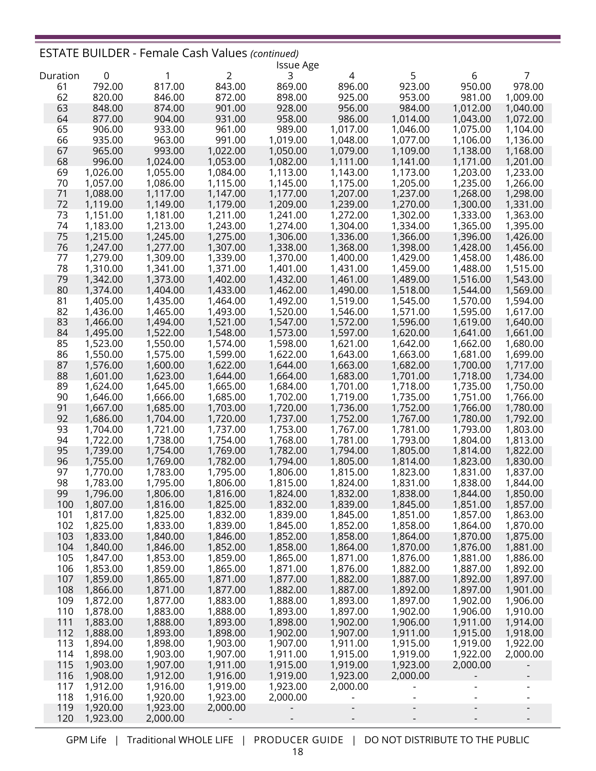## ESTATE BUILDER - Female Cash Values *(continued)*

|          |             |          |                | <b>Issue Age</b> |          |          |          |                      |
|----------|-------------|----------|----------------|------------------|----------|----------|----------|----------------------|
| Duration | $\mathbf 0$ | 1        | $\overline{2}$ | 3                | 4        | 5        | 6        | 7                    |
| 61       | 792.00      | 817.00   | 843.00         | 869.00           | 896.00   | 923.00   | 950.00   | 978.00               |
| 62       | 820.00      | 846.00   | 872.00         | 898.00           | 925.00   | 953.00   | 981.00   | 1,009.00             |
| 63       | 848.00      | 874.00   | 901.00         | 928.00           | 956.00   | 984.00   | 1,012.00 | 1,040.00             |
| 64       | 877.00      | 904.00   | 931.00         | 958.00           | 986.00   | 1,014.00 | 1,043.00 | 1,072.00             |
| 65       | 906.00      | 933.00   | 961.00         | 989.00           | 1,017.00 | 1,046.00 | 1,075.00 | 1,104.00             |
| 66       | 935.00      | 963.00   | 991.00         | 1,019.00         | 1,048.00 | 1,077.00 | 1,106.00 | 1,136.00             |
| 67       | 965.00      | 993.00   | 1,022.00       | 1,050.00         | 1,079.00 | 1,109.00 | 1,138.00 | 1,168.00             |
| 68       | 996.00      | 1,024.00 | 1,053.00       | 1,082.00         | 1,111.00 | 1,141.00 | 1,171.00 | 1,201.00             |
| 69       | 1,026.00    | 1,055.00 | 1,084.00       | 1,113.00         | 1,143.00 | 1,173.00 | 1,203.00 | 1,233.00             |
| 70       | 1,057.00    | 1,086.00 | 1,115.00       | 1,145.00         | 1,175.00 | 1,205.00 | 1,235.00 | 1,266.00             |
| 71       | 1,088.00    | 1,117.00 | 1,147.00       | 1,177.00         | 1,207.00 | 1,237.00 | 1,268.00 | 1,298.00             |
| 72       | 1,119.00    | 1,149.00 | 1,179.00       | 1,209.00         | 1,239.00 | 1,270.00 | 1,300.00 | 1,331.00             |
| 73       | 1,151.00    | 1,181.00 | 1,211.00       | 1,241.00         | 1,272.00 | 1,302.00 | 1,333.00 | 1,363.00             |
| 74       | 1,183.00    | 1,213.00 | 1,243.00       | 1,274.00         | 1,304.00 | 1,334.00 | 1,365.00 | 1,395.00             |
| 75       | 1,215.00    | 1,245.00 | 1,275.00       | 1,306.00         | 1,336.00 | 1,366.00 | 1,396.00 | 1,426.00             |
| 76       | 1,247.00    | 1,277.00 | 1,307.00       | 1,338.00         | 1,368.00 | 1,398.00 | 1,428.00 | 1,456.00             |
| 77       | 1,279.00    | 1,309.00 | 1,339.00       | 1,370.00         | 1,400.00 | 1,429.00 | 1,458.00 | 1,486.00             |
| 78       | 1,310.00    | 1,341.00 | 1,371.00       | 1,401.00         | 1,431.00 | 1,459.00 | 1,488.00 | 1,515.00             |
| 79       | 1,342.00    | 1,373.00 | 1,402.00       | 1,432.00         | 1,461.00 | 1,489.00 | 1,516.00 | 1,543.00             |
| 80       | 1,374.00    | 1,404.00 | 1,433.00       | 1,462.00         | 1,490.00 | 1,518.00 | 1,544.00 | 1,569.00             |
| 81       | 1,405.00    | 1,435.00 | 1,464.00       | 1,492.00         | 1,519.00 | 1,545.00 | 1,570.00 | 1,594.00             |
| 82       | 1,436.00    | 1,465.00 | 1,493.00       | 1,520.00         | 1,546.00 | 1,571.00 | 1,595.00 | 1,617.00             |
| 83       | 1,466.00    | 1,494.00 | 1,521.00       | 1,547.00         | 1,572.00 | 1,596.00 | 1,619.00 | 1,640.00             |
| 84       | 1,495.00    | 1,522.00 | 1,548.00       | 1,573.00         | 1,597.00 | 1,620.00 | 1,641.00 | 1,661.00             |
| 85       | 1,523.00    | 1,550.00 | 1,574.00       | 1,598.00         | 1,621.00 | 1,642.00 | 1,662.00 | 1,680.00             |
| 86       | 1,550.00    | 1,575.00 | 1,599.00       | 1,622.00         | 1,643.00 | 1,663.00 | 1,681.00 | 1,699.00             |
| 87       | 1,576.00    | 1,600.00 | 1,622.00       | 1,644.00         | 1,663.00 | 1,682.00 | 1,700.00 | 1,717.00             |
| 88       | 1,601.00    | 1,623.00 | 1,644.00       | 1,664.00         | 1,683.00 | 1,701.00 | 1,718.00 | 1,734.00             |
| 89       | 1,624.00    | 1,645.00 | 1,665.00       | 1,684.00         | 1,701.00 | 1,718.00 | 1,735.00 | 1,750.00             |
| 90       | 1,646.00    | 1,666.00 | 1,685.00       | 1,702.00         | 1,719.00 | 1,735.00 | 1,751.00 | 1,766.00             |
| 91       | 1,667.00    | 1,685.00 | 1,703.00       | 1,720.00         | 1,736.00 | 1,752.00 | 1,766.00 | 1,780.00             |
| 92       | 1,686.00    | 1,704.00 | 1,720.00       | 1,737.00         | 1,752.00 | 1,767.00 | 1,780.00 | 1,792.00             |
| 93       | 1,704.00    | 1,721.00 | 1,737.00       | 1,753.00         | 1,767.00 | 1,781.00 | 1,793.00 | 1,803.00             |
| 94       | 1,722.00    | 1,738.00 | 1,754.00       | 1,768.00         | 1,781.00 | 1,793.00 | 1,804.00 | 1,813.00             |
| 95       | 1,739.00    | 1,754.00 | 1,769.00       | 1,782.00         | 1,794.00 | 1,805.00 | 1,814.00 | 1,822.00             |
| 96       | 1,755.00    | 1,769.00 | 1,782.00       | 1,794.00         | 1,805.00 | 1,814.00 | 1,823.00 | 1,830.00             |
| 97       | 1,770.00    | 1,783.00 | 1,795.00       | 1,806.00         | 1,815.00 | 1,823.00 | 1,831.00 | 1,837.00             |
| 98       | 1,783.00    | 1,795.00 | 1,806.00       | 1,815.00         | 1,824.00 | 1,831.00 | 1,838.00 | 1,844.00             |
| 99       | 1,796.00    | 1,806.00 | 1,816.00       | 1,824.00         | 1,832.00 | 1,838.00 | 1,844.00 | 1,850.00             |
| 100      | 1,807.00    | 1,816.00 | 1,825.00       | 1,832.00         | 1,839.00 | 1,845.00 | 1,851.00 | 1,857.00             |
| 101      | 1,817.00    | 1,825.00 | 1,832.00       | 1,839.00         | 1,845.00 | 1,851.00 | 1,857.00 | 1,863.00             |
| 102      | 1,825.00    | 1,833.00 | 1,839.00       | 1,845.00         | 1,852.00 | 1,858.00 | 1,864.00 | 1,870.00             |
| 103      | 1,833.00    | 1,840.00 | 1,846.00       | 1,852.00         | 1,858.00 | 1,864.00 | 1,870.00 | 1,875.00             |
| 104      | 1,840.00    | 1,846.00 | 1,852.00       | 1,858.00         | 1,864.00 | 1,870.00 | 1,876.00 | 1,881.00             |
| 105      | 1,847.00    | 1,853.00 | 1,859.00       | 1,865.00         | 1,871.00 | 1,876.00 | 1,881.00 |                      |
|          |             |          |                | 1,871.00         | 1,876.00 |          | 1,887.00 | 1,886.00<br>1,892.00 |
| 106      | 1,853.00    | 1,859.00 | 1,865.00       | 1,877.00         |          | 1,882.00 |          |                      |
| 107      | 1,859.00    | 1,865.00 | 1,871.00       |                  | 1,882.00 | 1,887.00 | 1,892.00 | 1,897.00             |
| 108      | 1,866.00    | 1,871.00 | 1,877.00       | 1,882.00         | 1,887.00 | 1,892.00 | 1,897.00 | 1,901.00             |
| 109      | 1,872.00    | 1,877.00 | 1,883.00       | 1,888.00         | 1,893.00 | 1,897.00 | 1,902.00 | 1,906.00             |
| 110      | 1,878.00    | 1,883.00 | 1,888.00       | 1,893.00         | 1,897.00 | 1,902.00 | 1,906.00 | 1,910.00             |
| 111      | 1,883.00    | 1,888.00 | 1,893.00       | 1,898.00         | 1,902.00 | 1,906.00 | 1,911.00 | 1,914.00             |
| 112      | 1,888.00    | 1,893.00 | 1,898.00       | 1,902.00         | 1,907.00 | 1,911.00 | 1,915.00 | 1,918.00             |
| 113      | 1,894.00    | 1,898.00 | 1,903.00       | 1,907.00         | 1,911.00 | 1,915.00 | 1,919.00 | 1,922.00             |
| 114      | 1,898.00    | 1,903.00 | 1,907.00       | 1,911.00         | 1,915.00 | 1,919.00 | 1,922.00 | 2,000.00             |
| 115      | 1,903.00    | 1,907.00 | 1,911.00       | 1,915.00         | 1,919.00 | 1,923.00 | 2,000.00 |                      |
| 116      | 1,908.00    | 1,912.00 | 1,916.00       | 1,919.00         | 1,923.00 | 2,000.00 |          |                      |
| 117      | 1,912.00    | 1,916.00 | 1,919.00       | 1,923.00         | 2,000.00 |          |          |                      |
| 118      | 1,916.00    | 1,920.00 | 1,923.00       | 2,000.00         |          |          |          |                      |
| 119      | 1,920.00    | 1,923.00 | 2,000.00       |                  |          |          |          |                      |
| 120      | 1,923.00    | 2,000.00 |                |                  |          |          |          |                      |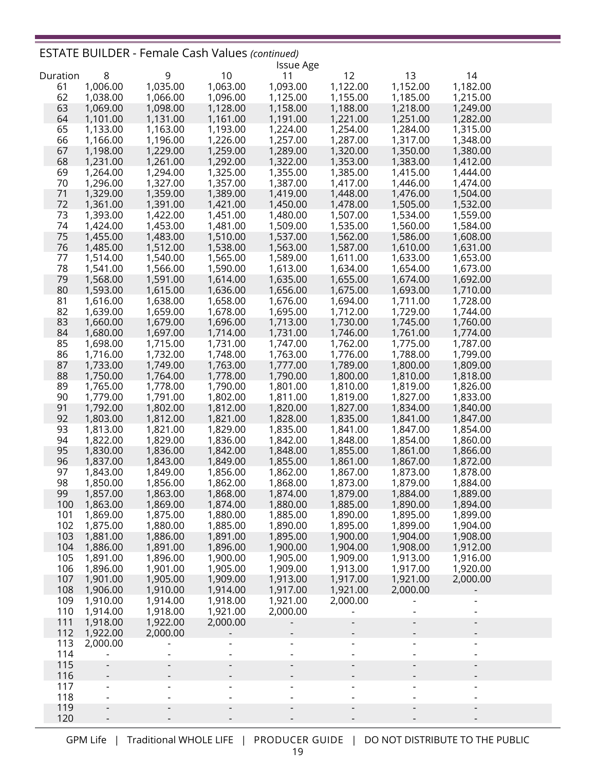## ESTATE BUILDER - Female Cash Values *(continued)*

|          |          |          |          | <b>Issue Age</b>     |                          |                          |                          |  |
|----------|----------|----------|----------|----------------------|--------------------------|--------------------------|--------------------------|--|
| Duration | 8        | 9        | 10       | 11                   | 12                       | 13                       | 14                       |  |
| 61       | 1,006.00 | 1,035.00 | 1,063.00 | 1,093.00             | 1,122.00                 | 1,152.00                 | 1,182.00                 |  |
| 62       | 1,038.00 | 1,066.00 | 1,096.00 | 1,125.00             | 1,155.00                 | 1,185.00                 | 1,215.00                 |  |
| 63       | 1,069.00 | 1,098.00 | 1,128.00 | 1,158.00             | 1,188.00                 | 1,218.00                 | 1,249.00                 |  |
| 64       | 1,101.00 | 1,131.00 | 1,161.00 | 1,191.00             | 1,221.00                 | 1,251.00                 | 1,282.00                 |  |
| 65       | 1,133.00 | 1,163.00 | 1,193.00 | 1,224.00             | 1,254.00                 | 1,284.00                 | 1,315.00                 |  |
| 66       | 1,166.00 | 1,196.00 | 1,226.00 | 1,257.00             | 1,287.00                 | 1,317.00                 | 1,348.00                 |  |
| 67       | 1,198.00 | 1,229.00 | 1,259.00 | 1,289.00             | 1,320.00                 | 1,350.00                 | 1,380.00                 |  |
| 68       | 1,231.00 | 1,261.00 | 1,292.00 | 1,322.00             | 1,353.00                 | 1,383.00                 | 1,412.00                 |  |
| 69       | 1,264.00 | 1,294.00 | 1,325.00 | 1,355.00             | 1,385.00                 | 1,415.00                 | 1,444.00                 |  |
| 70       | 1,296.00 | 1,327.00 | 1,357.00 | 1,387.00             | 1,417.00                 | 1,446.00                 | 1,474.00                 |  |
| 71       | 1,329.00 | 1,359.00 | 1,389.00 | 1,419.00             | 1,448.00                 | 1,476.00                 | 1,504.00                 |  |
| 72       | 1,361.00 | 1,391.00 | 1,421.00 | 1,450.00             | 1,478.00                 | 1,505.00                 | 1,532.00                 |  |
| 73       | 1,393.00 | 1,422.00 | 1,451.00 | 1,480.00             | 1,507.00                 | 1,534.00                 | 1,559.00                 |  |
| 74       | 1,424.00 | 1,453.00 | 1,481.00 | 1,509.00             | 1,535.00                 | 1,560.00                 | 1,584.00                 |  |
| 75       | 1,455.00 | 1,483.00 | 1,510.00 | 1,537.00             | 1,562.00                 | 1,586.00                 | 1,608.00                 |  |
| 76       | 1,485.00 | 1,512.00 | 1,538.00 | 1,563.00             | 1,587.00                 | 1,610.00                 | 1,631.00                 |  |
| 77       | 1,514.00 | 1,540.00 | 1,565.00 | 1,589.00             | 1,611.00                 | 1,633.00                 | 1,653.00                 |  |
| 78       | 1,541.00 | 1,566.00 | 1,590.00 | 1,613.00             | 1,634.00                 | 1,654.00                 | 1,673.00                 |  |
| 79       | 1,568.00 | 1,591.00 | 1,614.00 | 1,635.00             | 1,655.00                 | 1,674.00                 | 1,692.00                 |  |
| 80       | 1,593.00 | 1,615.00 | 1,636.00 | 1,656.00             | 1,675.00                 | 1,693.00                 | 1,710.00                 |  |
| 81       | 1,616.00 | 1,638.00 | 1,658.00 | 1,676.00             | 1,694.00                 | 1,711.00                 | 1,728.00                 |  |
| 82       | 1,639.00 | 1,659.00 | 1,678.00 | 1,695.00             | 1,712.00                 | 1,729.00                 | 1,744.00                 |  |
| 83       | 1,660.00 | 1,679.00 | 1,696.00 | 1,713.00             | 1,730.00                 | 1,745.00                 | 1,760.00                 |  |
| 84       | 1,680.00 | 1,697.00 | 1,714.00 | 1,731.00             | 1,746.00                 | 1,761.00                 | 1,774.00                 |  |
| 85       |          |          | 1,731.00 |                      |                          |                          | 1,787.00                 |  |
| 86       | 1,698.00 | 1,715.00 | 1,748.00 | 1,747.00<br>1,763.00 | 1,762.00<br>1,776.00     | 1,775.00                 | 1,799.00                 |  |
|          | 1,716.00 | 1,732.00 |          |                      |                          | 1,788.00                 |                          |  |
| 87       | 1,733.00 | 1,749.00 | 1,763.00 | 1,777.00             | 1,789.00                 | 1,800.00                 | 1,809.00                 |  |
| 88       | 1,750.00 | 1,764.00 | 1,778.00 | 1,790.00             | 1,800.00                 | 1,810.00                 | 1,818.00                 |  |
| 89       | 1,765.00 | 1,778.00 | 1,790.00 | 1,801.00             | 1,810.00                 | 1,819.00                 | 1,826.00                 |  |
| 90       | 1,779.00 | 1,791.00 | 1,802.00 | 1,811.00             | 1,819.00                 | 1,827.00                 | 1,833.00                 |  |
| 91       | 1,792.00 | 1,802.00 | 1,812.00 | 1,820.00             | 1,827.00                 | 1,834.00                 | 1,840.00                 |  |
| 92       | 1,803.00 | 1,812.00 | 1,821.00 | 1,828.00             | 1,835.00                 | 1,841.00                 | 1,847.00                 |  |
| 93       | 1,813.00 | 1,821.00 | 1,829.00 | 1,835.00             | 1,841.00                 | 1,847.00                 | 1,854.00                 |  |
| 94       | 1,822.00 | 1,829.00 | 1,836.00 | 1,842.00             | 1,848.00                 | 1,854.00                 | 1,860.00                 |  |
| 95       | 1,830.00 | 1,836.00 | 1,842.00 | 1,848.00             | 1,855.00                 | 1,861.00                 | 1,866.00                 |  |
| 96       | 1,837.00 | 1,843.00 | 1,849.00 | 1,855.00             | 1,861.00                 | 1,867.00                 | 1,872.00                 |  |
| 97       | 1,843.00 | 1,849.00 | 1,856.00 | 1,862.00             | 1,867.00                 | 1,873.00                 | 1,878.00                 |  |
| 98       | 1,850.00 | 1,856.00 | 1,862.00 | 1,868.00             | 1,873.00                 | 1,879.00                 | 1,884.00                 |  |
| 99       | 1,857.00 | 1,863.00 | 1,868.00 | 1,874.00             | 1,879.00                 | 1,884.00                 | 1,889.00                 |  |
| 100      | 1,863.00 | 1,869.00 | 1,874.00 | 1,880.00             | 1,885.00                 | 1,890.00                 | 1,894.00                 |  |
| 101      | 1,869.00 | 1,875.00 | 1,880.00 | 1,885.00             | 1,890.00                 | 1,895.00                 | 1,899.00                 |  |
| 102      | 1,875.00 | 1,880.00 | 1,885.00 | 1,890.00             | 1,895.00                 | 1,899.00                 | 1,904.00                 |  |
| 103      | 1,881.00 | 1,886.00 | 1,891.00 | 1,895.00             | 1,900.00                 | 1,904.00                 | 1,908.00                 |  |
| 104      | 1,886.00 | 1,891.00 | 1,896.00 | 1,900.00             | 1,904.00                 | 1,908.00                 | 1,912.00                 |  |
| 105      | 1,891.00 | 1,896.00 | 1,900.00 | 1,905.00             | 1,909.00                 | 1,913.00                 | 1,916.00                 |  |
| 106      | 1,896.00 | 1,901.00 | 1,905.00 | 1,909.00             | 1,913.00                 | 1,917.00                 | 1,920.00                 |  |
| 107      | 1,901.00 | 1,905.00 | 1,909.00 | 1,913.00             | 1,917.00                 | 1,921.00                 | 2,000.00                 |  |
| 108      | 1,906.00 | 1,910.00 | 1,914.00 | 1,917.00             | 1,921.00                 | 2,000.00                 |                          |  |
| 109      | 1,910.00 | 1,914.00 | 1,918.00 | 1,921.00             | 2,000.00                 |                          |                          |  |
| 110      | 1,914.00 | 1,918.00 | 1,921.00 | 2,000.00             |                          |                          |                          |  |
| 111      | 1,918.00 | 1,922.00 | 2,000.00 |                      |                          | $\overline{\phantom{a}}$ | $\overline{\phantom{a}}$ |  |
| 112      | 1,922.00 | 2,000.00 |          |                      |                          |                          |                          |  |
| 113      | 2,000.00 |          |          |                      |                          |                          | $\overline{\phantom{0}}$ |  |
| 114      |          |          |          |                      | $\overline{\phantom{0}}$ |                          | $\overline{\phantom{a}}$ |  |
| 115      |          |          |          |                      | -                        |                          | -                        |  |
| 116      |          |          |          |                      |                          |                          |                          |  |
| 117      |          |          |          |                      |                          |                          |                          |  |
| 118      |          |          |          |                      |                          |                          |                          |  |
| 119      |          |          |          |                      |                          |                          |                          |  |
| 120      |          |          |          |                      |                          |                          |                          |  |
|          |          |          |          |                      |                          |                          |                          |  |